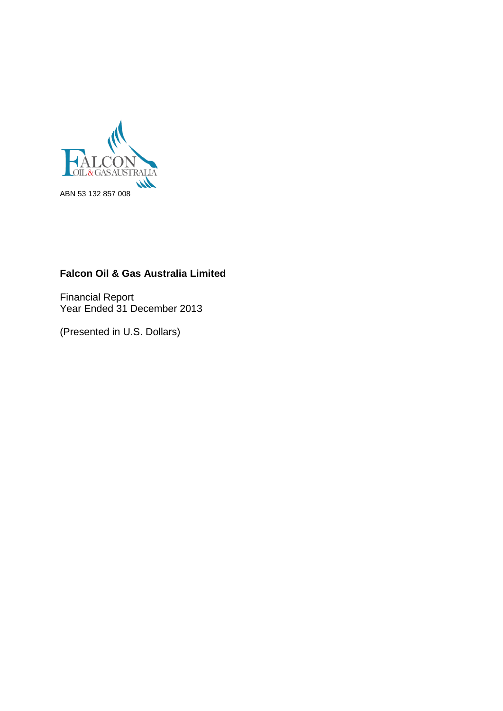

# **Falcon Oil & Gas Australia Limited**

Financial Report Year Ended 31 December 2013

(Presented in U.S. Dollars)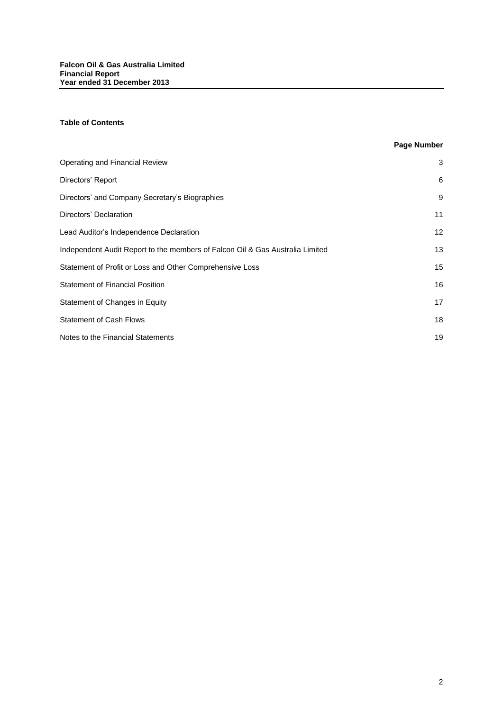# **Table of Contents**

# **Page Number**

| Operating and Financial Review                                                | 3  |
|-------------------------------------------------------------------------------|----|
| Directors' Report                                                             | 6  |
| Directors' and Company Secretary's Biographies                                | 9  |
| Directors' Declaration                                                        | 11 |
| Lead Auditor's Independence Declaration                                       | 12 |
| Independent Audit Report to the members of Falcon Oil & Gas Australia Limited | 13 |
| Statement of Profit or Loss and Other Comprehensive Loss                      | 15 |
| <b>Statement of Financial Position</b>                                        | 16 |
| Statement of Changes in Equity                                                | 17 |
| <b>Statement of Cash Flows</b>                                                | 18 |
| Notes to the Financial Statements                                             | 19 |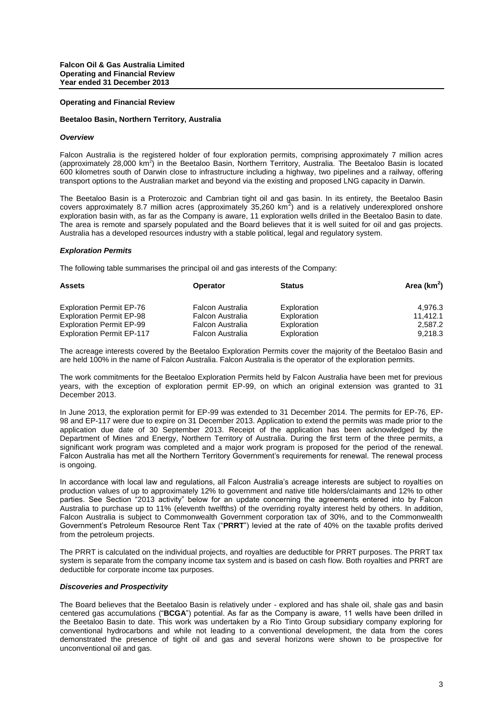#### **Operating and Financial Review**

#### **Beetaloo Basin, Northern Territory, Australia**

#### *Overview*

Falcon Australia is the registered holder of four exploration permits, comprising approximately 7 million acres (approximately 28,000 km<sup>2</sup>) in the Beetaloo Basin, Northern Territory, Australia. The Beetaloo Basin is located 600 kilometres south of Darwin close to infrastructure including a highway, two pipelines and a railway, offering transport options to the Australian market and beyond via the existing and proposed LNG capacity in Darwin.

The Beetaloo Basin is a Proterozoic and Cambrian tight oil and gas basin. In its entirety, the Beetaloo Basin covers approximately 8.7 million acres (approximately 35,260 km<sup>2</sup>) and is a relatively underexplored onshore exploration basin with, as far as the Company is aware, 11 exploration wells drilled in the Beetaloo Basin to date. The area is remote and sparsely populated and the Board believes that it is well suited for oil and gas projects. Australia has a developed resources industry with a stable political, legal and regulatory system.

#### *Exploration Permits*

The following table summarises the principal oil and gas interests of the Company:

| <b>Assets</b>                    | <b>Operator</b>  | <b>Status</b> | Area ( $km^2$ ) |
|----------------------------------|------------------|---------------|-----------------|
| <b>Exploration Permit EP-76</b>  | Falcon Australia | Exploration   | 4.976.3         |
| <b>Exploration Permit EP-98</b>  | Falcon Australia | Exploration   | 11.412.1        |
| <b>Exploration Permit EP-99</b>  | Falcon Australia | Exploration   | 2.587.2         |
| <b>Exploration Permit EP-117</b> | Falcon Australia | Exploration   | 9.218.3         |

The acreage interests covered by the Beetaloo Exploration Permits cover the majority of the Beetaloo Basin and are held 100% in the name of Falcon Australia. Falcon Australia is the operator of the exploration permits.

The work commitments for the Beetaloo Exploration Permits held by Falcon Australia have been met for previous years, with the exception of exploration permit EP-99, on which an original extension was granted to 31 December 2013.

In June 2013, the exploration permit for EP-99 was extended to 31 December 2014. The permits for EP-76, EP-98 and EP-117 were due to expire on 31 December 2013. Application to extend the permits was made prior to the application due date of 30 September 2013. Receipt of the application has been acknowledged by the Department of Mines and Energy, Northern Territory of Australia. During the first term of the three permits, a significant work program was completed and a major work program is proposed for the period of the renewal. Falcon Australia has met all the Northern Territory Government's requirements for renewal. The renewal process is ongoing.

In accordance with local law and regulations, all Falcon Australia's acreage interests are subject to royalties on production values of up to approximately 12% to government and native title holders/claimants and 12% to other parties. See Section "2013 activity" below for an update concerning the agreements entered into by Falcon Australia to purchase up to 11% (eleventh twelfths) of the overriding royalty interest held by others. In addition, Falcon Australia is subject to Commonwealth Government corporation tax of 30%, and to the Commonwealth Government's Petroleum Resource Rent Tax ("**PRRT**") levied at the rate of 40% on the taxable profits derived from the petroleum projects.

The PRRT is calculated on the individual projects, and royalties are deductible for PRRT purposes. The PRRT tax system is separate from the company income tax system and is based on cash flow. Both royalties and PRRT are deductible for corporate income tax purposes.

## *Discoveries and Prospectivity*

The Board believes that the Beetaloo Basin is relatively under - explored and has shale oil, shale gas and basin centered gas accumulations ("**BCGA**") potential. As far as the Company is aware, 11 wells have been drilled in the Beetaloo Basin to date. This work was undertaken by a Rio Tinto Group subsidiary company exploring for conventional hydrocarbons and while not leading to a conventional development, the data from the cores demonstrated the presence of tight oil and gas and several horizons were shown to be prospective for unconventional oil and gas.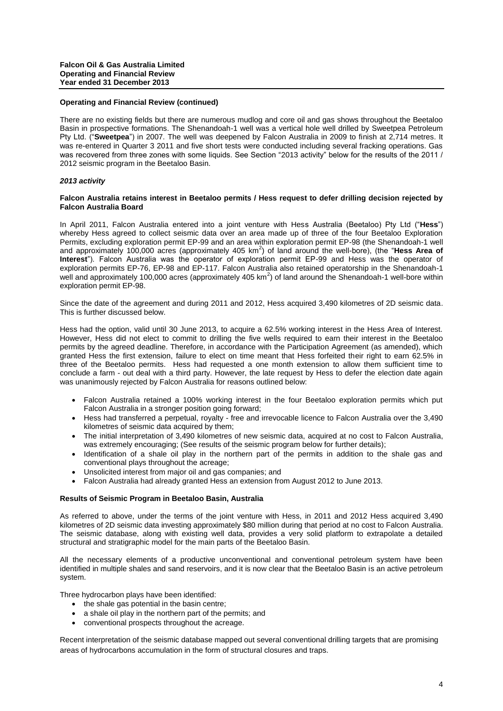#### **Operating and Financial Review (continued)**

There are no existing fields but there are numerous mudlog and core oil and gas shows throughout the Beetaloo Basin in prospective formations. The Shenandoah-1 well was a vertical hole well drilled by Sweetpea Petroleum Pty Ltd. ("**Sweetpea**") in 2007. The well was deepened by Falcon Australia in 2009 to finish at 2,714 metres. It was re-entered in Quarter 3 2011 and five short tests were conducted including several fracking operations. Gas was recovered from three zones with some liquids. See Section "2013 activity" below for the results of the 2011 / 2012 seismic program in the Beetaloo Basin.

## *2013 activity*

#### **Falcon Australia retains interest in Beetaloo permits / Hess request to defer drilling decision rejected by Falcon Australia Board**

In April 2011, Falcon Australia entered into a joint venture with Hess Australia (Beetaloo) Pty Ltd ("**Hess**") whereby Hess agreed to collect seismic data over an area made up of three of the four Beetaloo Exploration Permits, excluding exploration permit EP-99 and an area within exploration permit EP-98 (the Shenandoah-1 well and approximately 100,000 acres (approximately 405 km<sup>2</sup>) of land around the well-bore), (the "Hess Area of **Interest**"). Falcon Australia was the operator of exploration permit EP-99 and Hess was the operator of exploration permits EP-76, EP-98 and EP-117. Falcon Australia also retained operatorship in the Shenandoah-1 well and approximately 100,000 acres (approximately 405 km<sup>2</sup>) of land around the Shenandoah-1 well-bore within exploration permit EP-98.

Since the date of the agreement and during 2011 and 2012, Hess acquired 3,490 kilometres of 2D seismic data. This is further discussed below.

Hess had the option, valid until 30 June 2013, to acquire a 62.5% working interest in the Hess Area of Interest. However, Hess did not elect to commit to drilling the five wells required to earn their interest in the Beetaloo permits by the agreed deadline. Therefore, in accordance with the Participation Agreement (as amended), which granted Hess the first extension, failure to elect on time meant that Hess forfeited their right to earn 62.5% in three of the Beetaloo permits. Hess had requested a one month extension to allow them sufficient time to conclude a farm - out deal with a third party. However, the late request by Hess to defer the election date again was unanimously rejected by Falcon Australia for reasons outlined below:

- Falcon Australia retained a 100% working interest in the four Beetaloo exploration permits which put Falcon Australia in a stronger position going forward;
- Hess had transferred a perpetual, royalty free and irrevocable licence to Falcon Australia over the 3,490 kilometres of seismic data acquired by them;
- The initial interpretation of 3,490 kilometres of new seismic data, acquired at no cost to Falcon Australia, was extremely encouraging; (See results of the seismic program below for further details);
- Identification of a shale oil play in the northern part of the permits in addition to the shale gas and conventional plays throughout the acreage;
- Unsolicited interest from major oil and gas companies; and
- Falcon Australia had already granted Hess an extension from August 2012 to June 2013.

#### **Results of Seismic Program in Beetaloo Basin, Australia**

As referred to above, under the terms of the joint venture with Hess, in 2011 and 2012 Hess acquired 3,490 kilometres of 2D seismic data investing approximately \$80 million during that period at no cost to Falcon Australia. The seismic database, along with existing well data, provides a very solid platform to extrapolate a detailed structural and stratigraphic model for the main parts of the Beetaloo Basin.

All the necessary elements of a productive unconventional and conventional petroleum system have been identified in multiple shales and sand reservoirs, and it is now clear that the Beetaloo Basin is an active petroleum system.

Three hydrocarbon plays have been identified:

- the shale gas potential in the basin centre;
- a shale oil play in the northern part of the permits; and
- conventional prospects throughout the acreage.

Recent interpretation of the seismic database mapped out several conventional drilling targets that are promising areas of hydrocarbons accumulation in the form of structural closures and traps.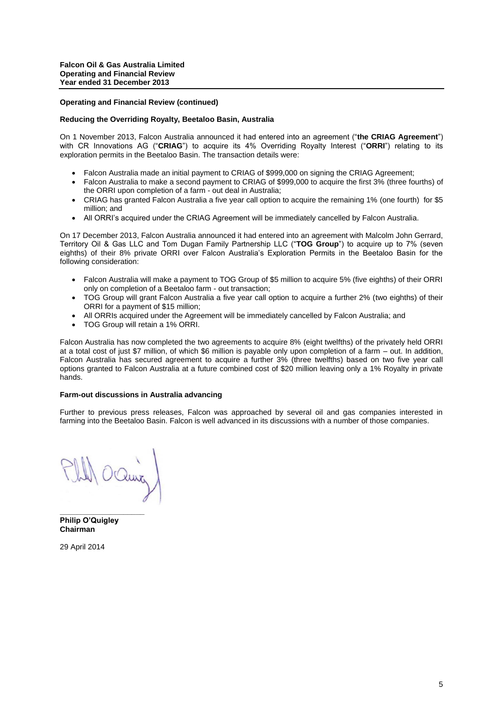# **Operating and Financial Review (continued)**

# **Reducing the Overriding Royalty, Beetaloo Basin, Australia**

On 1 November 2013, Falcon Australia announced it had entered into an agreement ("**the CRIAG Agreement**") with CR Innovations AG ("**CRIAG**") to acquire its 4% Overriding Royalty Interest ("**ORRI**") relating to its exploration permits in the Beetaloo Basin. The transaction details were:

- Falcon Australia made an initial payment to CRIAG of \$999,000 on signing the CRIAG Agreement;
- Falcon Australia to make a second payment to CRIAG of \$999,000 to acquire the first 3% (three fourths) of the ORRI upon completion of a farm - out deal in Australia;
- CRIAG has granted Falcon Australia a five year call option to acquire the remaining 1% (one fourth) for \$5 million; and
- All ORRI's acquired under the CRIAG Agreement will be immediately cancelled by Falcon Australia.

On 17 December 2013, Falcon Australia announced it had entered into an agreement with Malcolm John Gerrard, Territory Oil & Gas LLC and Tom Dugan Family Partnership LLC ("**TOG Group**") to acquire up to 7% (seven eighths) of their 8% private ORRI over Falcon Australia's Exploration Permits in the Beetaloo Basin for the following consideration:

- Falcon Australia will make a payment to TOG Group of \$5 million to acquire 5% (five eighths) of their ORRI only on completion of a Beetaloo farm - out transaction;
- TOG Group will grant Falcon Australia a five year call option to acquire a further 2% (two eighths) of their ORRI for a payment of \$15 million;
- All ORRIs acquired under the Agreement will be immediately cancelled by Falcon Australia; and
- TOG Group will retain a 1% ORRI.

Falcon Australia has now completed the two agreements to acquire 8% (eight twelfths) of the privately held ORRI at a total cost of just \$7 million, of which \$6 million is payable only upon completion of a farm – out. In addition, Falcon Australia has secured agreement to acquire a further 3% (three twelfths) based on two five year call options granted to Falcon Australia at a future combined cost of \$20 million leaving only a 1% Royalty in private hands.

# **Farm-out discussions in Australia advancing**

Further to previous press releases, Falcon was approached by several oil and gas companies interested in farming into the Beetaloo Basin. Falcon is well advanced in its discussions with a number of those companies.

OQuig

**\_\_\_\_\_\_\_\_\_\_\_\_\_\_\_\_\_\_\_\_ Philip O'Quigley Chairman**

29 April 2014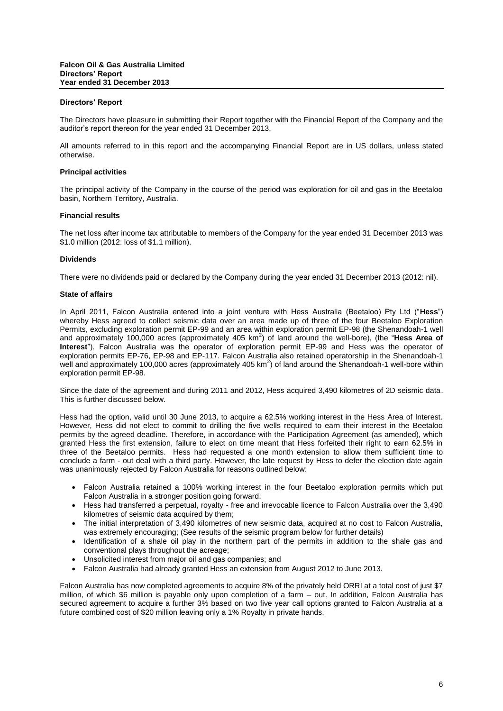## **Directors' Report**

The Directors have pleasure in submitting their Report together with the Financial Report of the Company and the auditor's report thereon for the year ended 31 December 2013.

All amounts referred to in this report and the accompanying Financial Report are in US dollars, unless stated otherwise.

#### **Principal activities**

The principal activity of the Company in the course of the period was exploration for oil and gas in the Beetaloo basin, Northern Territory, Australia.

#### **Financial results**

The net loss after income tax attributable to members of the Company for the year ended 31 December 2013 was \$1.0 million (2012: loss of \$1.1 million).

#### **Dividends**

There were no dividends paid or declared by the Company during the year ended 31 December 2013 (2012: nil).

#### **State of affairs**

In April 2011, Falcon Australia entered into a joint venture with Hess Australia (Beetaloo) Pty Ltd ("**Hess**") whereby Hess agreed to collect seismic data over an area made up of three of the four Beetaloo Exploration Permits, excluding exploration permit EP-99 and an area within exploration permit EP-98 (the Shenandoah-1 well and approximately 100,000 acres (approximately 405 km<sup>2</sup>) of land around the well-bore), (the "Hess Area of **Interest**"). Falcon Australia was the operator of exploration permit EP-99 and Hess was the operator of exploration permits EP-76, EP-98 and EP-117. Falcon Australia also retained operatorship in the Shenandoah-1 well and approximately 100,000 acres (approximately 405 km<sup>2</sup>) of land around the Shenandoah-1 well-bore within exploration permit EP-98.

Since the date of the agreement and during 2011 and 2012, Hess acquired 3,490 kilometres of 2D seismic data. This is further discussed below.

Hess had the option, valid until 30 June 2013, to acquire a 62.5% working interest in the Hess Area of Interest. However, Hess did not elect to commit to drilling the five wells required to earn their interest in the Beetaloo permits by the agreed deadline. Therefore, in accordance with the Participation Agreement (as amended), which granted Hess the first extension, failure to elect on time meant that Hess forfeited their right to earn 62.5% in three of the Beetaloo permits. Hess had requested a one month extension to allow them sufficient time to conclude a farm - out deal with a third party. However, the late request by Hess to defer the election date again was unanimously rejected by Falcon Australia for reasons outlined below:

- Falcon Australia retained a 100% working interest in the four Beetaloo exploration permits which put Falcon Australia in a stronger position going forward;
- Hess had transferred a perpetual, royalty free and irrevocable licence to Falcon Australia over the 3,490 kilometres of seismic data acquired by them;
- The initial interpretation of 3,490 kilometres of new seismic data, acquired at no cost to Falcon Australia, was extremely encouraging; (See results of the seismic program below for further details)
- Identification of a shale oil play in the northern part of the permits in addition to the shale gas and conventional plays throughout the acreage;
- Unsolicited interest from major oil and gas companies; and
- Falcon Australia had already granted Hess an extension from August 2012 to June 2013.

Falcon Australia has now completed agreements to acquire 8% of the privately held ORRI at a total cost of just \$7 million, of which \$6 million is payable only upon completion of a farm – out. In addition, Falcon Australia has secured agreement to acquire a further 3% based on two five year call options granted to Falcon Australia at a future combined cost of \$20 million leaving only a 1% Royalty in private hands.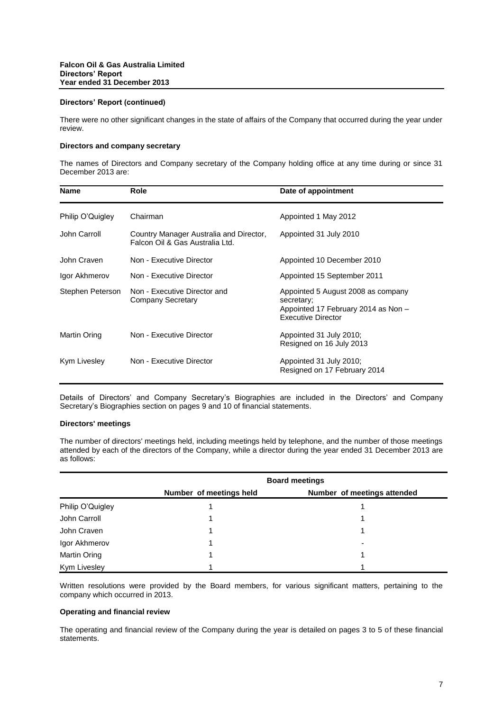#### **Directors' Report (continued)**

There were no other significant changes in the state of affairs of the Company that occurred during the year under review.

# **Directors and company secretary**

The names of Directors and Company secretary of the Company holding office at any time during or since 31 December 2013 are:

| <b>Name</b>      | <b>Role</b>                                                                | Date of appointment                                                                                                  |
|------------------|----------------------------------------------------------------------------|----------------------------------------------------------------------------------------------------------------------|
| Philip O'Quigley | Chairman                                                                   | Appointed 1 May 2012                                                                                                 |
| John Carroll     | Country Manager Australia and Director,<br>Falcon Oil & Gas Australia Ltd. | Appointed 31 July 2010                                                                                               |
| John Craven      | Non - Executive Director                                                   | Appointed 10 December 2010                                                                                           |
| Igor Akhmerov    | Non - Executive Director                                                   | Appointed 15 September 2011                                                                                          |
| Stephen Peterson | Non - Executive Director and<br>Company Secretary                          | Appointed 5 August 2008 as company<br>secretary;<br>Appointed 17 February 2014 as Non -<br><b>Executive Director</b> |
| Martin Oring     | Non - Executive Director                                                   | Appointed 31 July 2010;<br>Resigned on 16 July 2013                                                                  |
| Kym Livesley     | Non - Executive Director                                                   | Appointed 31 July 2010;<br>Resigned on 17 February 2014                                                              |

Details of Directors' and Company Secretary's Biographies are included in the Directors' and Company Secretary's Biographies section on pages 9 and 10 of financial statements.

## **Directors' meetings**

The number of directors' meetings held, including meetings held by telephone, and the number of those meetings attended by each of the directors of the Company, while a director during the year ended 31 December 2013 are as follows:

|                     | <b>Board meetings</b>   |                             |  |
|---------------------|-------------------------|-----------------------------|--|
|                     | Number of meetings held | Number of meetings attended |  |
| Philip O'Quigley    |                         |                             |  |
| John Carroll        |                         |                             |  |
| John Craven         |                         |                             |  |
| Igor Akhmerov       |                         | $\overline{\phantom{0}}$    |  |
| <b>Martin Oring</b> |                         |                             |  |
| Kym Livesley        |                         |                             |  |

Written resolutions were provided by the Board members, for various significant matters, pertaining to the company which occurred in 2013.

#### **Operating and financial review**

The operating and financial review of the Company during the year is detailed on pages 3 to 5 of these financial statements.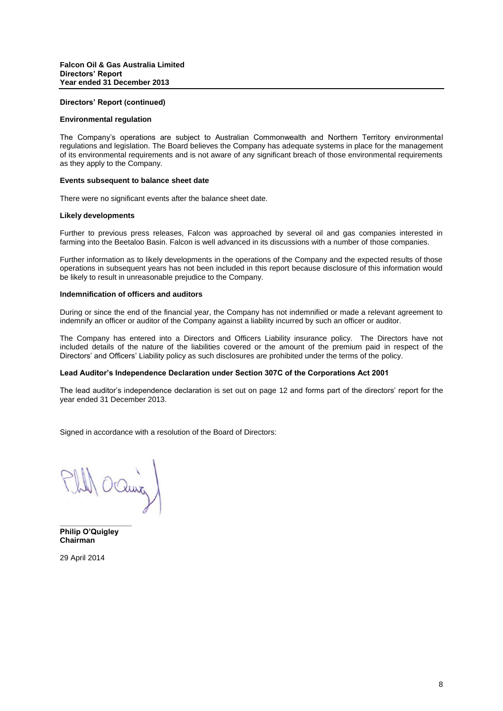#### **Directors' Report (continued)**

#### **Environmental regulation**

The Company's operations are subject to Australian Commonwealth and Northern Territory environmental regulations and legislation. The Board believes the Company has adequate systems in place for the management of its environmental requirements and is not aware of any significant breach of those environmental requirements as they apply to the Company.

## **Events subsequent to balance sheet date**

There were no significant events after the balance sheet date.

#### **Likely developments**

Further to previous press releases, Falcon was approached by several oil and gas companies interested in farming into the Beetaloo Basin. Falcon is well advanced in its discussions with a number of those companies.

Further information as to likely developments in the operations of the Company and the expected results of those operations in subsequent years has not been included in this report because disclosure of this information would be likely to result in unreasonable prejudice to the Company.

# **Indemnification of officers and auditors**

During or since the end of the financial year, the Company has not indemnified or made a relevant agreement to indemnify an officer or auditor of the Company against a liability incurred by such an officer or auditor.

The Company has entered into a Directors and Officers Liability insurance policy. The Directors have not included details of the nature of the liabilities covered or the amount of the premium paid in respect of the Directors' and Officers' Liability policy as such disclosures are prohibited under the terms of the policy.

## **Lead Auditor's Independence Declaration under Section 307C of the Corporations Act 2001**

The lead auditor's independence declaration is set out on page 12 and forms part of the directors' report for the year ended 31 December 2013.

Signed in accordance with a resolution of the Board of Directors:

1 O'aung)

**\_\_\_\_\_\_\_\_\_\_\_\_\_\_\_\_\_ Philip O'Quigley Chairman**

29 April 2014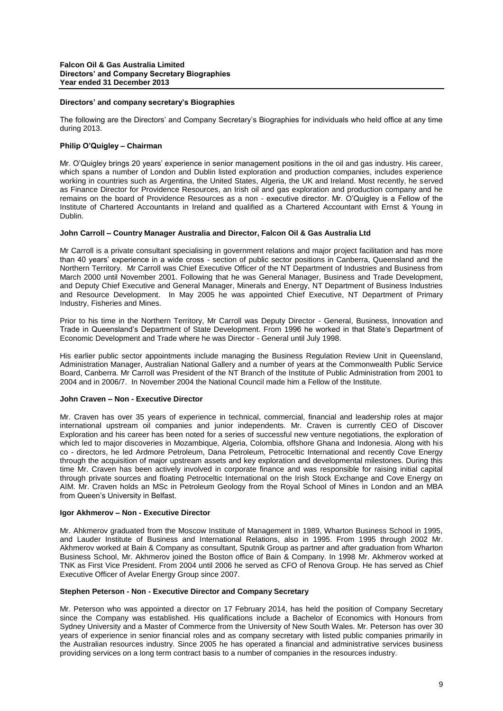## **Directors' and company secretary's Biographies**

The following are the Directors' and Company Secretary's Biographies for individuals who held office at any time during 2013.

# **Philip O'Quigley – Chairman**

Mr. O'Quigley brings 20 years' experience in senior management positions in the oil and gas industry. His career, which spans a number of London and Dublin listed exploration and production companies, includes experience working in countries such as Argentina, the United States, Algeria, the UK and Ireland. Most recently, he served as Finance Director for Providence Resources, an Irish oil and gas exploration and production company and he remains on the board of Providence Resources as a non - executive director. Mr. O'Quigley is a Fellow of the Institute of Chartered Accountants in Ireland and qualified as a Chartered Accountant with Ernst & Young in Dublin.

#### **John Carroll – Country Manager Australia and Director, Falcon Oil & Gas Australia Ltd**

Mr Carroll is a private consultant specialising in government relations and major project facilitation and has more than 40 years' experience in a wide cross - section of public sector positions in Canberra, Queensland and the Northern Territory. Mr Carroll was Chief Executive Officer of the NT Department of Industries and Business from March 2000 until November 2001. Following that he was General Manager, Business and Trade Development, and Deputy Chief Executive and General Manager, Minerals and Energy, NT Department of Business Industries and Resource Development. In May 2005 he was appointed Chief Executive, NT Department of Primary Industry, Fisheries and Mines.

Prior to his time in the Northern Territory, Mr Carroll was Deputy Director - General, Business, Innovation and Trade in Queensland's Department of State Development. From 1996 he worked in that State's Department of Economic Development and Trade where he was Director - General until July 1998.

His earlier public sector appointments include managing the Business Regulation Review Unit in Queensland, Administration Manager, Australian National Gallery and a number of years at the Commonwealth Public Service Board, Canberra. Mr Carroll was President of the NT Branch of the Institute of Public Administration from 2001 to 2004 and in 2006/7. In November 2004 the National Council made him a Fellow of the Institute.

#### **John Craven – Non - Executive Director**

Mr. Craven has over 35 years of experience in technical, commercial, financial and leadership roles at major international upstream oil companies and junior independents. Mr. Craven is currently CEO of Discover Exploration and his career has been noted for a series of successful new venture negotiations, the exploration of which led to major discoveries in Mozambique, Algeria, Colombia, offshore Ghana and Indonesia. Along with his co - directors, he led Ardmore Petroleum, Dana Petroleum, Petroceltic International and recently Cove Energy through the acquisition of major upstream assets and key exploration and developmental milestones. During this time Mr. Craven has been actively involved in corporate finance and was responsible for raising initial capital through private sources and floating Petroceltic International on the Irish Stock Exchange and Cove Energy on AIM. Mr. Craven holds an MSc in Petroleum Geology from the Royal School of Mines in London and an MBA from Queen's University in Belfast.

## **Igor Akhmerov – Non - Executive Director**

Mr. Ahkmerov graduated from the Moscow Institute of Management in 1989, Wharton Business School in 1995, and Lauder Institute of Business and International Relations, also in 1995. From 1995 through 2002 Mr. Akhmerov worked at Bain & Company as consultant, Sputnik Group as partner and after graduation from Wharton Business School, Mr. Akhmerov joined the Boston office of Bain & Company. In 1998 Mr. Akhmerov worked at TNK as First Vice President. From 2004 until 2006 he served as CFO of Renova Group. He has served as Chief Executive Officer of Avelar Energy Group since 2007.

#### **Stephen Peterson - Non - Executive Director and Company Secretary**

Mr. Peterson who was appointed a director on 17 February 2014, has held the position of Company Secretary since the Company was established. His qualifications include a Bachelor of Economics with Honours from Sydney University and a Master of Commerce from the University of New South Wales. Mr. Peterson has over 30 years of experience in senior financial roles and as company secretary with listed public companies primarily in the Australian resources industry. Since 2005 he has operated a financial and administrative services business providing services on a long term contract basis to a number of companies in the resources industry.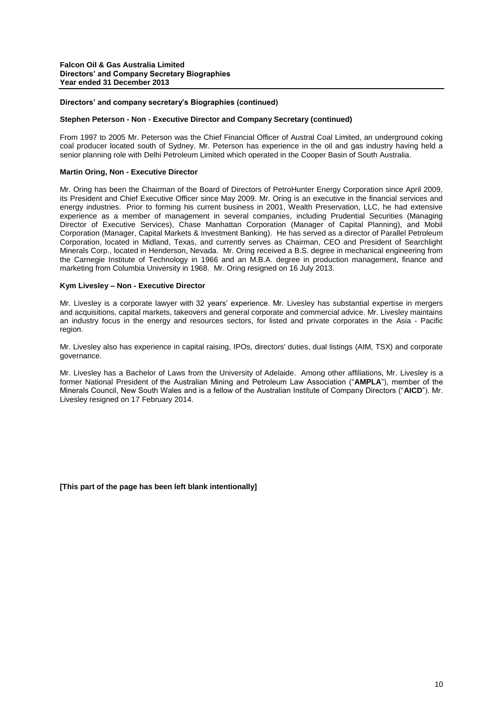## **Directors' and company secretary's Biographies (continued)**

## **Stephen Peterson - Non - Executive Director and Company Secretary (continued)**

From 1997 to 2005 Mr. Peterson was the Chief Financial Officer of Austral Coal Limited, an underground coking coal producer located south of Sydney. Mr. Peterson has experience in the oil and gas industry having held a senior planning role with Delhi Petroleum Limited which operated in the Cooper Basin of South Australia.

#### **Martin Oring, Non - Executive Director**

Mr. Oring has been the Chairman of the Board of Directors of PetroHunter Energy Corporation since April 2009, its President and Chief Executive Officer since May 2009. Mr. Oring is an executive in the financial services and energy industries. Prior to forming his current business in 2001, Wealth Preservation, LLC, he had extensive experience as a member of management in several companies, including Prudential Securities (Managing Director of Executive Services), Chase Manhattan Corporation (Manager of Capital Planning), and Mobil Corporation (Manager, Capital Markets & Investment Banking). He has served as a director of Parallel Petroleum Corporation, located in Midland, Texas, and currently serves as Chairman, CEO and President of Searchlight Minerals Corp., located in Henderson, Nevada. Mr. Oring received a B.S. degree in mechanical engineering from the Carnegie Institute of Technology in 1966 and an M.B.A. degree in production management, finance and marketing from Columbia University in 1968. Mr. Oring resigned on 16 July 2013.

# **Kym Livesley – Non - Executive Director**

Mr. Livesley is a corporate lawyer with 32 years' experience. Mr. Livesley has substantial expertise in mergers and acquisitions, capital markets, takeovers and general corporate and commercial advice. Mr. Livesley maintains an industry focus in the energy and resources sectors, for listed and private corporates in the Asia - Pacific region.

Mr. Livesley also has experience in capital raising, IPOs, directors' duties, dual listings (AIM, TSX) and corporate governance.

Mr. Livesley has a Bachelor of Laws from the University of Adelaide. Among other affiliations, Mr. Livesley is a former National President of the Australian Mining and Petroleum Law Association ("**AMPLA**"), member of the Minerals Council, New South Wales and is a fellow of the Australian Institute of Company Directors ("**AICD**"). Mr. Livesley resigned on 17 February 2014.

## **[This part of the page has been left blank intentionally]**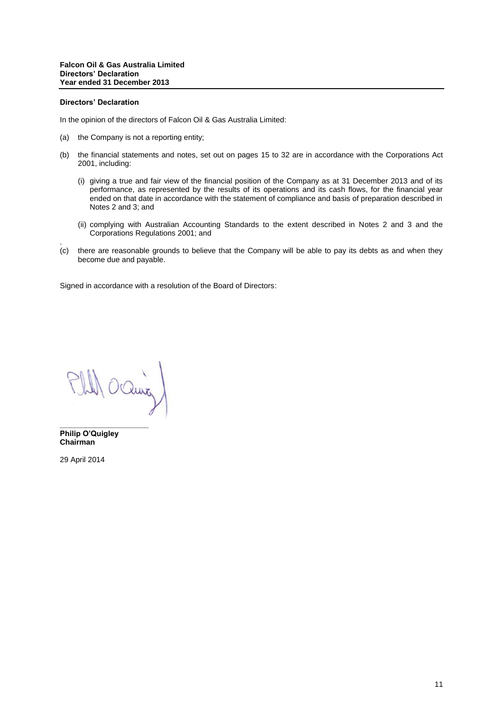#### **Directors' Declaration**

In the opinion of the directors of Falcon Oil & Gas Australia Limited:

- (a) the Company is not a reporting entity;
- (b) the financial statements and notes, set out on pages 15 to 32 are in accordance with the Corporations Act 2001, including:
	- (i) giving a true and fair view of the financial position of the Company as at 31 December 2013 and of its performance, as represented by the results of its operations and its cash flows, for the financial year ended on that date in accordance with the statement of compliance and basis of preparation described in Notes 2 and 3; and
	- (ii) complying with Australian Accounting Standards to the extent described in Notes 2 and 3 and the Corporations Regulations 2001; and
- . (c) there are reasonable grounds to believe that the Company will be able to pay its debts as and when they become due and payable.

Signed in accordance with a resolution of the Board of Directors:

Flad Ocaming)

**\_\_\_\_\_\_\_\_\_\_\_\_\_\_\_\_\_\_\_\_\_ Philip O'Quigley Chairman**

29 April 2014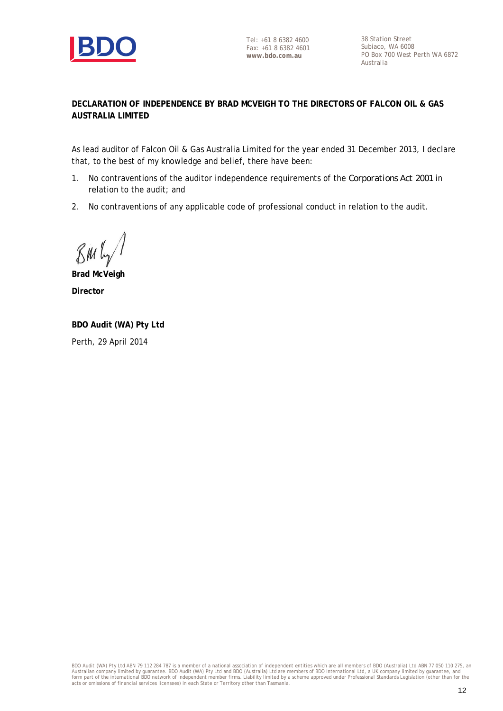

38 Station Street Subiaco, WA 6008 PO Box 700 West Perth WA 6872 Australia

# **DECLARATION OF INDEPENDENCE BY BRAD MCVEIGH TO THE DIRECTORS OF FALCON OIL & GAS AUSTRALIA LIMITED**

As lead auditor of Falcon Oil & Gas Australia Limited for the year ended 31 December 2013, I declare that, to the best of my knowledge and belief, there have been:

- 1. No contraventions of the auditor independence requirements of the *Corporations Act 2001* in relation to the audit; and
- 2. No contraventions of any applicable code of professional conduct in relation to the audit.

 $\mathcal{B}$ m $\mathfrak{l}_{\gamma}$ /

**Brad McVeigh Director**

**BDO Audit (WA) Pty Ltd** Perth, 29 April 2014

BDO Audit (WA) Pty Ltd ABN 79 112 284 787 is a member of a national association of independent entities which are all members of BDO (Australia) Ltd ABN 77 050 110 275, an Australian company limited by guarantee. BDO Audit (WA) Pty Ltd and BDO (Australia) Ltd are members of BDO International Ltd, a UK company limited by guarantee, and<br>form part of the international BDO network of independent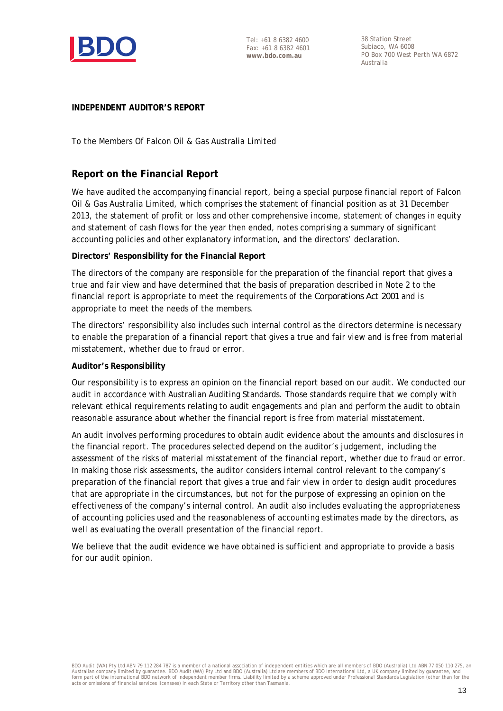

38 Station Street Subiaco, WA 6008 PO Box 700 West Perth WA 6872 Australia

# **INDEPENDENT AUDITOR'S REPORT**

# To the Members Of Falcon Oil & Gas Australia Limited

# **Report on the Financial Report**

We have audited the accompanying financial report, being a special purpose financial report of Falcon Oil & Gas Australia Limited, which comprises the statement of financial position as at 31 December 2013, the statement of profit or loss and other comprehensive income, statement of changes in equity and statement of cash flows for the year then ended, notes comprising a summary of significant accounting policies and other explanatory information, and the directors' declaration.

# **Directors' Responsibility for the Financial Report**

The directors of the company are responsible for the preparation of the financial report that gives a true and fair view and have determined that the basis of preparation described in Note 2 to the financial report is appropriate to meet the requirements of the *Corporations Act 2001* and is appropriate to meet the needs of the members.

The directors' responsibility also includes such internal control as the directors determine is necessary to enable the preparation of a financial report that gives a true and fair view and is free from material misstatement, whether due to fraud or error.

# **Auditor's Responsibility**

Our responsibility is to express an opinion on the financial report based on our audit. We conducted our audit in accordance with Australian Auditing Standards. Those standards require that we comply with relevant ethical requirements relating to audit engagements and plan and perform the audit to obtain reasonable assurance about whether the financial report is free from material misstatement.

An audit involves performing procedures to obtain audit evidence about the amounts and disclosures in the financial report. The procedures selected depend on the auditor's judgement, including the assessment of the risks of material misstatement of the financial report, whether due to fraud or error. In making those risk assessments, the auditor considers internal control relevant to the company's preparation of the financial report that gives a true and fair view in order to design audit procedures that are appropriate in the circumstances, but not for the purpose of expressing an opinion on the effectiveness of the company's internal control. An audit also includes evaluating the appropriateness of accounting policies used and the reasonableness of accounting estimates made by the directors, as well as evaluating the overall presentation of the financial report.

We believe that the audit evidence we have obtained is sufficient and appropriate to provide a basis for our audit opinion.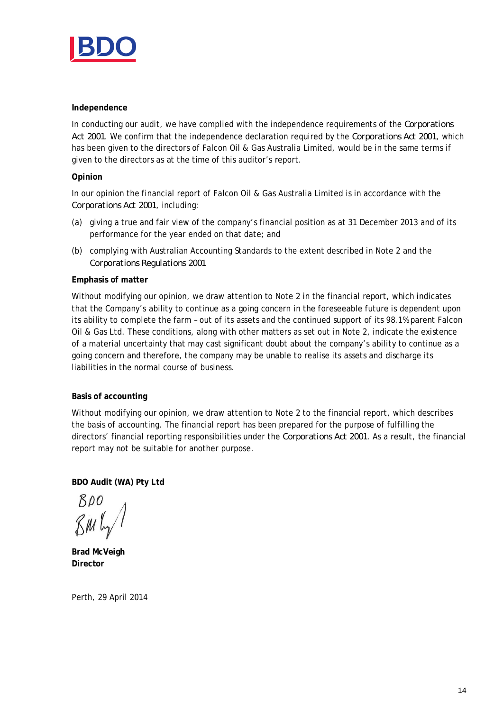

# **Independence**

In conducting our audit, we have complied with the independence requirements of the *Corporations Act 2001*. We confirm that the independence declaration required by the *Corporations Act 2001*, which has been given to the directors of Falcon Oil & Gas Australia Limited, would be in the same terms if given to the directors as at the time of this auditor's report.

# **Opinion**

In our opinion the financial report of Falcon Oil & Gas Australia Limited is in accordance with the *Corporations Act 2001*, including:

- (a) giving a true and fair view of the company's financial position as at 31 December 2013 and of its performance for the year ended on that date; and
- (b) complying with Australian Accounting Standards to the extent described in Note 2 and the *Corporations Regulations 2001*

# **Emphasis of matter**

Without modifying our opinion, we draw attention to Note 2 in the financial report, which indicates that the Company's ability to continue as a going concern in the foreseeable future is dependent upon its ability to complete the farm – out of its assets and the continued support of its 98.1% parent Falcon Oil & Gas Ltd. These conditions, along with other matters as set out in Note 2, indicate the existence of a material uncertainty that may cast significant doubt about the company's ability to continue as a going concern and therefore, the company may be unable to realise its assets and discharge its liabilities in the normal course of business.

# **Basis of accounting**

Without modifying our opinion, we draw attention to Note 2 to the financial report, which describes the basis of accounting. The financial report has been prepared for the purpose of fulfilling the directors' financial reporting responsibilities under the *Corporations Act 2001*. As a result, the financial report may not be suitable for another purpose.

**BDO Audit (WA) Pty Ltd**

**BDO**  $RMb$ 

**Brad McVeigh Director**

Perth, 29 April 2014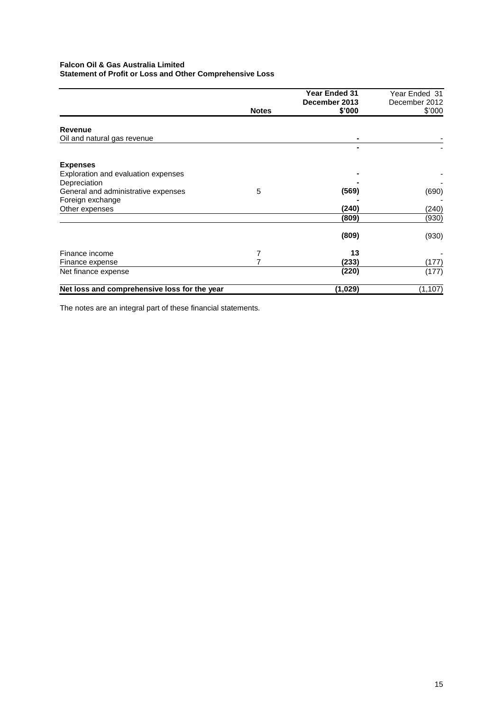# **Falcon Oil & Gas Australia Limited Statement of Profit or Loss and Other Comprehensive Loss**

|                                              | <b>Notes</b> | <b>Year Ended 31</b><br>December 2013<br>\$'000 | Year Ended 31<br>December 2012<br>\$'000 |
|----------------------------------------------|--------------|-------------------------------------------------|------------------------------------------|
|                                              |              |                                                 |                                          |
| <b>Revenue</b>                               |              |                                                 |                                          |
| Oil and natural gas revenue                  |              |                                                 |                                          |
|                                              |              |                                                 |                                          |
| <b>Expenses</b>                              |              |                                                 |                                          |
| Exploration and evaluation expenses          |              |                                                 |                                          |
| Depreciation                                 |              |                                                 |                                          |
| General and administrative expenses          | 5            | (569)                                           | (690)                                    |
| Foreign exchange                             |              |                                                 |                                          |
| Other expenses                               |              | (240)                                           | (240)                                    |
|                                              |              | (809)                                           | (930)                                    |
|                                              |              | (809)                                           | (930)                                    |
| Finance income                               | 7            | 13                                              |                                          |
| Finance expense                              |              | (233)                                           | (177)                                    |
| Net finance expense                          |              | (220)                                           | (177)                                    |
| Net loss and comprehensive loss for the year |              | (1,029)                                         | (1, 107)                                 |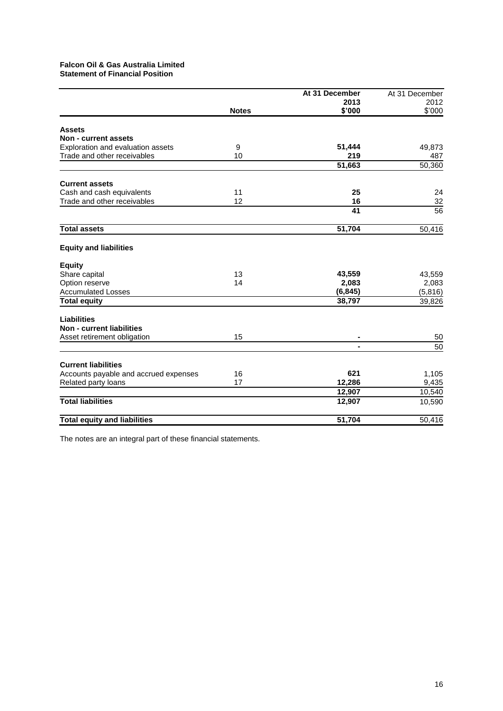# **Falcon Oil & Gas Australia Limited Statement of Financial Position**

|                                       |              | At 31 December | At 31 December |
|---------------------------------------|--------------|----------------|----------------|
|                                       |              | 2013           | 2012           |
|                                       | <b>Notes</b> | \$'000         | \$'000         |
| <b>Assets</b>                         |              |                |                |
| <b>Non - current assets</b>           |              |                |                |
| Exploration and evaluation assets     | 9            | 51,444         | 49,873         |
| Trade and other receivables           | 10           | 219            | 487            |
|                                       |              | 51,663         | 50,360         |
| <b>Current assets</b>                 |              |                |                |
| Cash and cash equivalents             | 11           | 25             | 24             |
| Trade and other receivables           | 12           | 16             | 32             |
|                                       |              | 41             | 56             |
| <b>Total assets</b>                   |              | 51,704         | 50,416         |
| <b>Equity and liabilities</b>         |              |                |                |
| <b>Equity</b>                         |              |                |                |
| Share capital                         | 13           | 43,559         | 43,559         |
| Option reserve                        | 14           | 2,083          | 2,083          |
| <b>Accumulated Losses</b>             |              | (6, 845)       | (5,816)        |
| <b>Total equity</b>                   |              | 38,797         | 39,826         |
| <b>Liabilities</b>                    |              |                |                |
| <b>Non - current liabilities</b>      |              |                |                |
| Asset retirement obligation           | 15           |                | 50             |
|                                       |              |                | 50             |
| <b>Current liabilities</b>            |              |                |                |
| Accounts payable and accrued expenses | 16           | 621            | 1,105          |
| Related party loans                   | 17           | 12,286         | 9,435          |
|                                       |              | 12,907         | 10,540         |
| <b>Total liabilities</b>              |              | 12,907         | 10,590         |
| <b>Total equity and liabilities</b>   |              | 51,704         | 50,416         |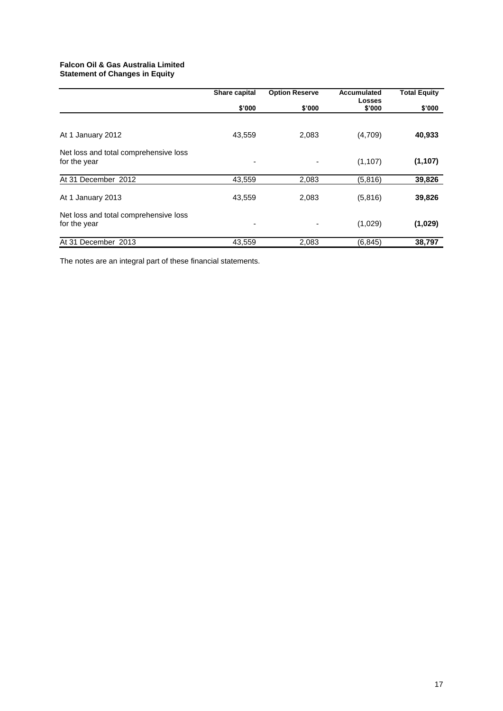# **Falcon Oil & Gas Australia Limited Statement of Changes in Equity**

|                                                       | Share capital | <b>Option Reserve</b> | Accumulated             | <b>Total Equity</b> |
|-------------------------------------------------------|---------------|-----------------------|-------------------------|---------------------|
|                                                       | \$'000        | \$'000                | <b>Losses</b><br>\$'000 | \$'000              |
|                                                       |               |                       |                         |                     |
| At 1 January 2012                                     | 43,559        | 2,083                 | (4,709)                 | 40,933              |
| Net loss and total comprehensive loss<br>for the year | ۰             | ٠                     | (1, 107)                | (1, 107)            |
| At 31 December 2012                                   | 43,559        | 2,083                 | (5,816)                 | 39,826              |
| At 1 January 2013                                     | 43,559        | 2,083                 | (5,816)                 | 39,826              |
| Net loss and total comprehensive loss<br>for the year | ۰             |                       | (1,029)                 | (1,029)             |
| At 31 December 2013                                   | 43,559        | 2,083                 | (6, 845)                | 38,797              |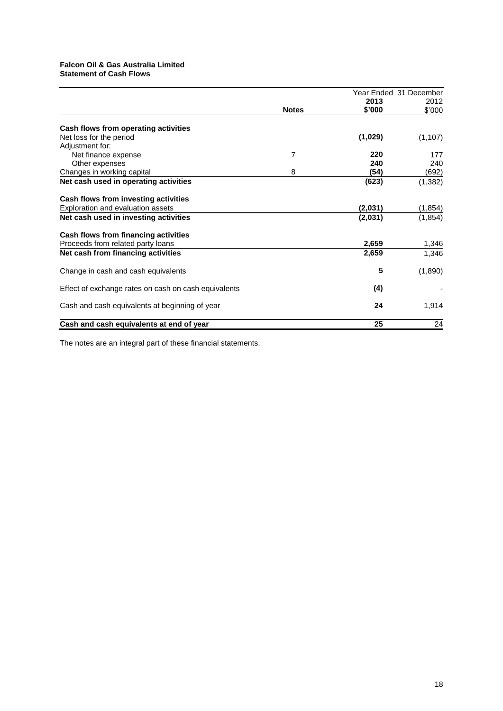# **Falcon Oil & Gas Australia Limited Statement of Cash Flows**

|                                                      |              | Year Ended 31 December |          |
|------------------------------------------------------|--------------|------------------------|----------|
|                                                      |              | 2013                   | 2012     |
|                                                      | <b>Notes</b> | \$'000                 | \$'000   |
| Cash flows from operating activities                 |              |                        |          |
| Net loss for the period                              |              | (1,029)                | (1, 107) |
| Adjustment for:                                      |              |                        |          |
| Net finance expense                                  | 7            | 220                    | 177      |
| Other expenses                                       |              | 240                    | 240      |
| Changes in working capital                           | 8            | (54)                   | (692)    |
| Net cash used in operating activities                |              | (623)                  | (1, 382) |
| Cash flows from investing activities                 |              |                        |          |
| Exploration and evaluation assets                    |              | (2,031)                | (1, 854) |
| Net cash used in investing activities                |              | (2,031)                | (1,854)  |
| Cash flows from financing activities                 |              |                        |          |
| Proceeds from related party loans                    |              | 2,659                  | 1,346    |
| Net cash from financing activities                   |              | 2,659                  | 1,346    |
| Change in cash and cash equivalents                  |              | 5                      | (1,890)  |
| Effect of exchange rates on cash on cash equivalents |              | (4)                    |          |
| Cash and cash equivalents at beginning of year       |              | 24                     | 1,914    |
| Cash and cash equivalents at end of year             |              | 25                     | 24       |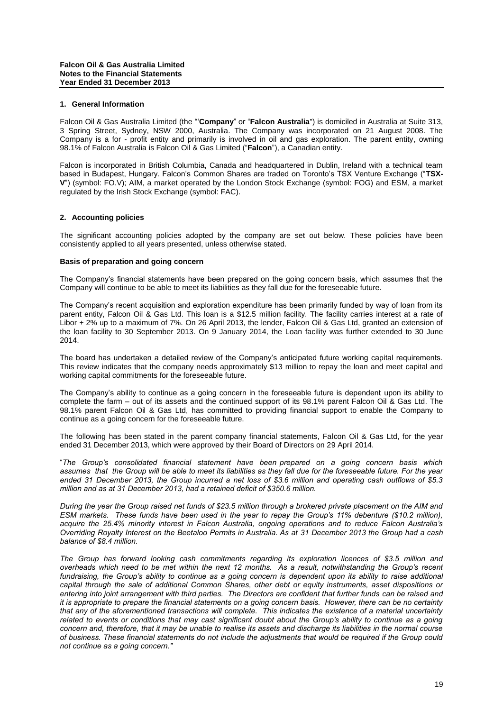#### **1. General Information**

Falcon Oil & Gas Australia Limited (the "'**Company**" or "**Falcon Australia**") is domiciled in Australia at Suite 313, 3 Spring Street, Sydney, NSW 2000, Australia. The Company was incorporated on 21 August 2008. The Company is a for - profit entity and primarily is involved in oil and gas exploration. The parent entity, owning 98.1% of Falcon Australia is Falcon Oil & Gas Limited ("**Falcon**"), a Canadian entity.

Falcon is incorporated in British Columbia, Canada and headquartered in Dublin, Ireland with a technical team based in Budapest, Hungary. Falcon's Common Shares are traded on Toronto's TSX Venture Exchange ("**TSX-V**") (symbol: FO.V); AIM, a market operated by the London Stock Exchange (symbol: FOG) and ESM, a market regulated by the Irish Stock Exchange (symbol: FAC).

#### **2. Accounting policies**

The significant accounting policies adopted by the company are set out below. These policies have been consistently applied to all years presented, unless otherwise stated.

#### **Basis of preparation and going concern**

The Company's financial statements have been prepared on the going concern basis, which assumes that the Company will continue to be able to meet its liabilities as they fall due for the foreseeable future.

The Company's recent acquisition and exploration expenditure has been primarily funded by way of loan from its parent entity, Falcon Oil & Gas Ltd. This loan is a \$12.5 million facility. The facility carries interest at a rate of Libor + 2% up to a maximum of 7%. On 26 April 2013, the lender, Falcon Oil & Gas Ltd, granted an extension of the loan facility to 30 September 2013. On 9 January 2014, the Loan facility was further extended to 30 June 2014.

The board has undertaken a detailed review of the Company's anticipated future working capital requirements. This review indicates that the company needs approximately \$13 million to repay the loan and meet capital and working capital commitments for the foreseeable future.

The Company's ability to continue as a going concern in the foreseeable future is dependent upon its ability to complete the farm – out of its assets and the continued support of its 98.1% parent Falcon Oil & Gas Ltd. The 98.1% parent Falcon Oil & Gas Ltd, has committed to providing financial support to enable the Company to continue as a going concern for the foreseeable future.

The following has been stated in the parent company financial statements, Falcon Oil & Gas Ltd, for the year ended 31 December 2013, which were approved by their Board of Directors on 29 April 2014.

"*The Group's consolidated financial statement have been prepared on a going concern basis which assumes that the Group will be able to meet its liabilities as they fall due for the foreseeable future. For the year ended 31 December 2013, the Group incurred a net loss of \$3.6 million and operating cash outflows of \$5.3 million and as at 31 December 2013, had a retained deficit of \$350.6 million.* 

*During the year the Group raised net funds of \$23.5 million through a brokered private placement on the AIM and ESM markets. These funds have been used in the year to repay the Group's 11% debenture (\$10.2 million), acquire the 25.4% minority interest in Falcon Australia, ongoing operations and to reduce Falcon Australia's Overriding Royalty Interest on the Beetaloo Permits in Australia. As at 31 December 2013 the Group had a cash balance of \$8.4 million.* 

*The Group has forward looking cash commitments regarding its exploration licences of \$3.5 million and overheads which need to be met within the next 12 months. As a result, notwithstanding the Group's recent*  fundraising, the Group's ability to continue as a going concern is dependent upon its ability to raise additional *capital through the sale of additional Common Shares, other debt or equity instruments, asset dispositions or entering into joint arrangement with third parties. The Directors are confident that further funds can be raised and it is appropriate to prepare the financial statements on a going concern basis. However, there can be no certainty that any of the aforementioned transactions will complete. This indicates the existence of a material uncertainty related to events or conditions that may cast significant doubt about the Group's ability to continue as a going concern and, therefore, that it may be unable to realise its assets and discharge its liabilities in the normal course of business. These financial statements do not include the adjustments that would be required if the Group could not continue as a going concern."*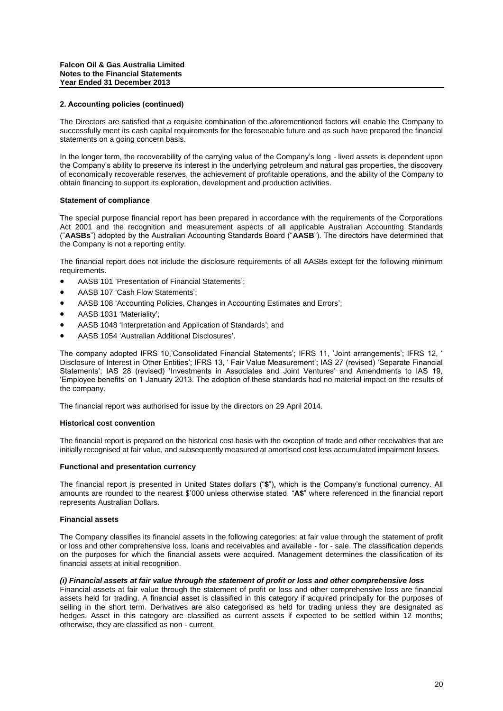The Directors are satisfied that a requisite combination of the aforementioned factors will enable the Company to successfully meet its cash capital requirements for the foreseeable future and as such have prepared the financial statements on a going concern basis.

In the longer term, the recoverability of the carrying value of the Company's long - lived assets is dependent upon the Company's ability to preserve its interest in the underlying petroleum and natural gas properties, the discovery of economically recoverable reserves, the achievement of profitable operations, and the ability of the Company to obtain financing to support its exploration, development and production activities.

# **Statement of compliance**

The special purpose financial report has been prepared in accordance with the requirements of the Corporations Act 2001 and the recognition and measurement aspects of all applicable Australian Accounting Standards ("**AASBs**") adopted by the Australian Accounting Standards Board ("**AASB**"). The directors have determined that the Company is not a reporting entity.

The financial report does not include the disclosure requirements of all AASBs except for the following minimum requirements.

- AASB 101 'Presentation of Financial Statements';
- AASB 107 'Cash Flow Statements':
- AASB 108 'Accounting Policies, Changes in Accounting Estimates and Errors';
- AASB 1031 'Materiality';
- AASB 1048 'Interpretation and Application of Standards'; and
- AASB 1054 'Australian Additional Disclosures'.

The company adopted IFRS 10,'Consolidated Financial Statements'; IFRS 11, 'Joint arrangements'; IFRS 12, ' Disclosure of Interest in Other Entities'; IFRS 13, ' Fair Value Measurement'; IAS 27 (revised) 'Separate Financial Statements'; IAS 28 (revised) 'Investments in Associates and Joint Ventures' and Amendments to IAS 19, 'Employee benefits' on 1 January 2013. The adoption of these standards had no material impact on the results of the company.

The financial report was authorised for issue by the directors on 29 April 2014.

## **Historical cost convention**

The financial report is prepared on the historical cost basis with the exception of trade and other receivables that are initially recognised at fair value, and subsequently measured at amortised cost less accumulated impairment losses.

## **Functional and presentation currency**

The financial report is presented in United States dollars ("**\$**"), which is the Company's functional currency. All amounts are rounded to the nearest \$'000 unless otherwise stated. "**A\$**" where referenced in the financial report represents Australian Dollars.

## **Financial assets**

The Company classifies its financial assets in the following categories: at fair value through the statement of profit or loss and other comprehensive loss, loans and receivables and available - for - sale. The classification depends on the purposes for which the financial assets were acquired. Management determines the classification of its financial assets at initial recognition.

## *(i) Financial assets at fair value through the statement of profit or loss and other comprehensive loss*

Financial assets at fair value through the statement of profit or loss and other comprehensive loss are financial assets held for trading. A financial asset is classified in this category if acquired principally for the purposes of selling in the short term. Derivatives are also categorised as held for trading unless they are designated as hedges. Asset in this category are classified as current assets if expected to be settled within 12 months; otherwise, they are classified as non - current.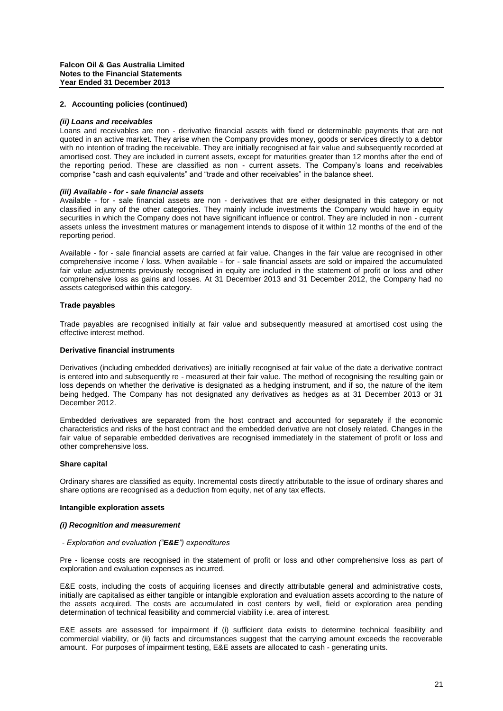#### *(ii) Loans and receivables*

Loans and receivables are non - derivative financial assets with fixed or determinable payments that are not quoted in an active market. They arise when the Company provides money, goods or services directly to a debtor with no intention of trading the receivable. They are initially recognised at fair value and subsequently recorded at amortised cost. They are included in current assets, except for maturities greater than 12 months after the end of the reporting period. These are classified as non - current assets. The Company's loans and receivables comprise "cash and cash equivalents" and "trade and other receivables" in the balance sheet.

## *(iii) Available - for - sale financial assets*

Available - for - sale financial assets are non - derivatives that are either designated in this category or not classified in any of the other categories. They mainly include investments the Company would have in equity securities in which the Company does not have significant influence or control. They are included in non - current assets unless the investment matures or management intends to dispose of it within 12 months of the end of the reporting period.

Available - for - sale financial assets are carried at fair value. Changes in the fair value are recognised in other comprehensive income / loss. When available - for - sale financial assets are sold or impaired the accumulated fair value adjustments previously recognised in equity are included in the statement of profit or loss and other comprehensive loss as gains and losses. At 31 December 2013 and 31 December 2012, the Company had no assets categorised within this category.

## **Trade payables**

Trade payables are recognised initially at fair value and subsequently measured at amortised cost using the effective interest method.

## **Derivative financial instruments**

Derivatives (including embedded derivatives) are initially recognised at fair value of the date a derivative contract is entered into and subsequently re - measured at their fair value. The method of recognising the resulting gain or loss depends on whether the derivative is designated as a hedging instrument, and if so, the nature of the item being hedged. The Company has not designated any derivatives as hedges as at 31 December 2013 or 31 December 2012.

Embedded derivatives are separated from the host contract and accounted for separately if the economic characteristics and risks of the host contract and the embedded derivative are not closely related. Changes in the fair value of separable embedded derivatives are recognised immediately in the statement of profit or loss and other comprehensive loss.

#### **Share capital**

Ordinary shares are classified as equity. Incremental costs directly attributable to the issue of ordinary shares and share options are recognised as a deduction from equity, net of any tax effects.

#### **Intangible exploration assets**

#### *(i) Recognition and measurement*

## *- Exploration and evaluation ("E&E") expenditures*

Pre - license costs are recognised in the statement of profit or loss and other comprehensive loss as part of exploration and evaluation expenses as incurred.

E&E costs, including the costs of acquiring licenses and directly attributable general and administrative costs, initially are capitalised as either tangible or intangible exploration and evaluation assets according to the nature of the assets acquired. The costs are accumulated in cost centers by well, field or exploration area pending determination of technical feasibility and commercial viability i.e. area of interest.

E&E assets are assessed for impairment if (i) sufficient data exists to determine technical feasibility and commercial viability, or (ii) facts and circumstances suggest that the carrying amount exceeds the recoverable amount. For purposes of impairment testing, E&E assets are allocated to cash - generating units.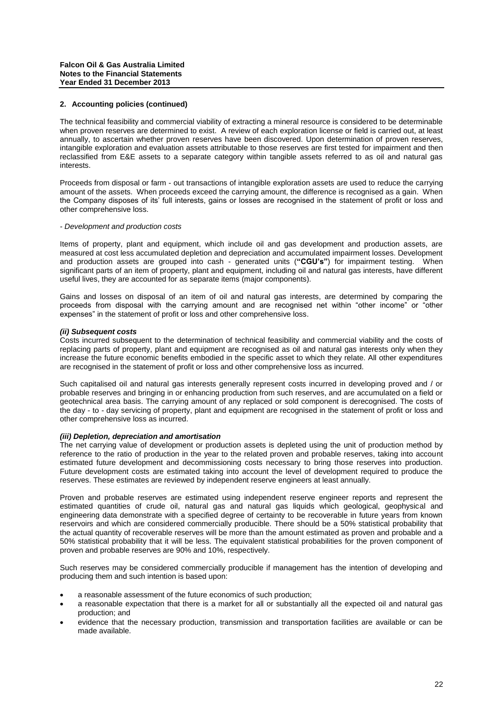The technical feasibility and commercial viability of extracting a mineral resource is considered to be determinable when proven reserves are determined to exist. A review of each exploration license or field is carried out, at least annually, to ascertain whether proven reserves have been discovered. Upon determination of proven reserves, intangible exploration and evaluation assets attributable to those reserves are first tested for impairment and then reclassified from E&E assets to a separate category within tangible assets referred to as oil and natural gas interests.

Proceeds from disposal or farm - out transactions of intangible exploration assets are used to reduce the carrying amount of the assets. When proceeds exceed the carrying amount, the difference is recognised as a gain. When the Company disposes of its' full interests, gains or losses are recognised in the statement of profit or loss and other comprehensive loss.

## *- Development and production costs*

Items of property, plant and equipment, which include oil and gas development and production assets, are measured at cost less accumulated depletion and depreciation and accumulated impairment losses. Development and production assets are grouped into cash - generated units (**"CGU's"**) for impairment testing. When significant parts of an item of property, plant and equipment, including oil and natural gas interests, have different useful lives, they are accounted for as separate items (major components).

Gains and losses on disposal of an item of oil and natural gas interests, are determined by comparing the proceeds from disposal with the carrying amount and are recognised net within "other income" or "other expenses" in the statement of profit or loss and other comprehensive loss.

## *(ii) Subsequent costs*

Costs incurred subsequent to the determination of technical feasibility and commercial viability and the costs of replacing parts of property, plant and equipment are recognised as oil and natural gas interests only when they increase the future economic benefits embodied in the specific asset to which they relate. All other expenditures are recognised in the statement of profit or loss and other comprehensive loss as incurred.

Such capitalised oil and natural gas interests generally represent costs incurred in developing proved and / or probable reserves and bringing in or enhancing production from such reserves, and are accumulated on a field or geotechnical area basis. The carrying amount of any replaced or sold component is derecognised. The costs of the day - to - day servicing of property, plant and equipment are recognised in the statement of profit or loss and other comprehensive loss as incurred.

# *(iii) Depletion, depreciation and amortisation*

The net carrying value of development or production assets is depleted using the unit of production method by reference to the ratio of production in the year to the related proven and probable reserves, taking into account estimated future development and decommissioning costs necessary to bring those reserves into production. Future development costs are estimated taking into account the level of development required to produce the reserves. These estimates are reviewed by independent reserve engineers at least annually.

Proven and probable reserves are estimated using independent reserve engineer reports and represent the estimated quantities of crude oil, natural gas and natural gas liquids which geological, geophysical and engineering data demonstrate with a specified degree of certainty to be recoverable in future years from known reservoirs and which are considered commercially producible. There should be a 50% statistical probability that the actual quantity of recoverable reserves will be more than the amount estimated as proven and probable and a 50% statistical probability that it will be less. The equivalent statistical probabilities for the proven component of proven and probable reserves are 90% and 10%, respectively.

Such reserves may be considered commercially producible if management has the intention of developing and producing them and such intention is based upon:

- a reasonable assessment of the future economics of such production;
- a reasonable expectation that there is a market for all or substantially all the expected oil and natural gas production; and
- evidence that the necessary production, transmission and transportation facilities are available or can be made available.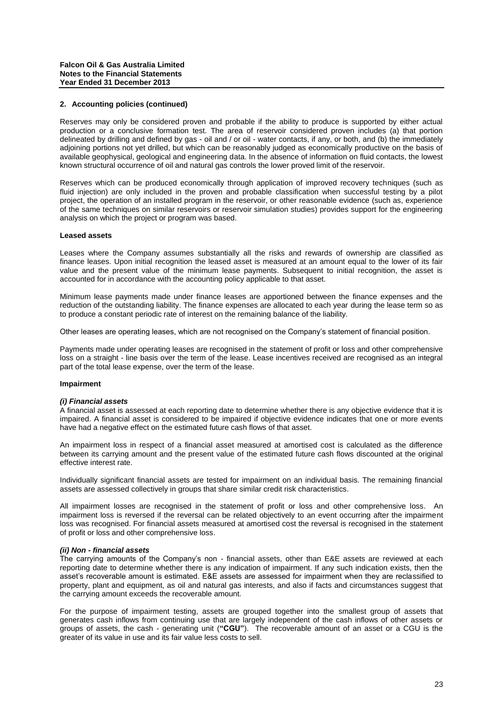Reserves may only be considered proven and probable if the ability to produce is supported by either actual production or a conclusive formation test. The area of reservoir considered proven includes (a) that portion delineated by drilling and defined by gas - oil and / or oil - water contacts, if any, or both, and (b) the immediately adjoining portions not yet drilled, but which can be reasonably judged as economically productive on the basis of available geophysical, geological and engineering data. In the absence of information on fluid contacts, the lowest known structural occurrence of oil and natural gas controls the lower proved limit of the reservoir.

Reserves which can be produced economically through application of improved recovery techniques (such as fluid injection) are only included in the proven and probable classification when successful testing by a pilot project, the operation of an installed program in the reservoir, or other reasonable evidence (such as, experience of the same techniques on similar reservoirs or reservoir simulation studies) provides support for the engineering analysis on which the project or program was based.

#### **Leased assets**

Leases where the Company assumes substantially all the risks and rewards of ownership are classified as finance leases. Upon initial recognition the leased asset is measured at an amount equal to the lower of its fair value and the present value of the minimum lease payments. Subsequent to initial recognition, the asset is accounted for in accordance with the accounting policy applicable to that asset.

Minimum lease payments made under finance leases are apportioned between the finance expenses and the reduction of the outstanding liability. The finance expenses are allocated to each year during the lease term so as to produce a constant periodic rate of interest on the remaining balance of the liability.

Other leases are operating leases, which are not recognised on the Company's statement of financial position.

Payments made under operating leases are recognised in the statement of profit or loss and other comprehensive loss on a straight - line basis over the term of the lease. Lease incentives received are recognised as an integral part of the total lease expense, over the term of the lease.

#### **Impairment**

#### *(i) Financial assets*

A financial asset is assessed at each reporting date to determine whether there is any objective evidence that it is impaired. A financial asset is considered to be impaired if objective evidence indicates that one or more events have had a negative effect on the estimated future cash flows of that asset.

An impairment loss in respect of a financial asset measured at amortised cost is calculated as the difference between its carrying amount and the present value of the estimated future cash flows discounted at the original effective interest rate.

Individually significant financial assets are tested for impairment on an individual basis. The remaining financial assets are assessed collectively in groups that share similar credit risk characteristics.

All impairment losses are recognised in the statement of profit or loss and other comprehensive loss. An impairment loss is reversed if the reversal can be related objectively to an event occurring after the impairment loss was recognised. For financial assets measured at amortised cost the reversal is recognised in the statement of profit or loss and other comprehensive loss.

#### *(ii) Non - financial assets*

The carrying amounts of the Company's non - financial assets, other than E&E assets are reviewed at each reporting date to determine whether there is any indication of impairment. If any such indication exists, then the asset's recoverable amount is estimated. E&E assets are assessed for impairment when they are reclassified to property, plant and equipment, as oil and natural gas interests, and also if facts and circumstances suggest that the carrying amount exceeds the recoverable amount.

For the purpose of impairment testing, assets are grouped together into the smallest group of assets that generates cash inflows from continuing use that are largely independent of the cash inflows of other assets or groups of assets, the cash - generating unit (**"CGU"**). The recoverable amount of an asset or a CGU is the greater of its value in use and its fair value less costs to sell.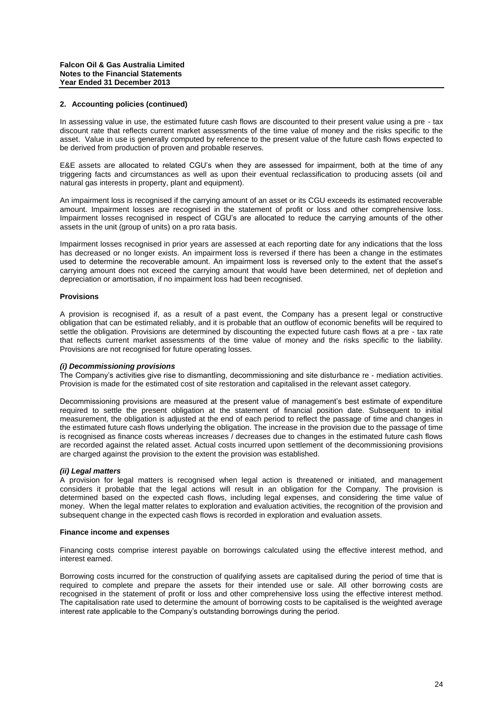In assessing value in use, the estimated future cash flows are discounted to their present value using a pre - tax discount rate that reflects current market assessments of the time value of money and the risks specific to the asset. Value in use is generally computed by reference to the present value of the future cash flows expected to be derived from production of proven and probable reserves.

E&E assets are allocated to related CGU's when they are assessed for impairment, both at the time of any triggering facts and circumstances as well as upon their eventual reclassification to producing assets (oil and natural gas interests in property, plant and equipment).

An impairment loss is recognised if the carrying amount of an asset or its CGU exceeds its estimated recoverable amount. Impairment losses are recognised in the statement of profit or loss and other comprehensive loss. Impairment losses recognised in respect of CGU's are allocated to reduce the carrying amounts of the other assets in the unit (group of units) on a pro rata basis.

Impairment losses recognised in prior years are assessed at each reporting date for any indications that the loss has decreased or no longer exists. An impairment loss is reversed if there has been a change in the estimates used to determine the recoverable amount. An impairment loss is reversed only to the extent that the asset's carrying amount does not exceed the carrying amount that would have been determined, net of depletion and depreciation or amortisation, if no impairment loss had been recognised.

## **Provisions**

A provision is recognised if, as a result of a past event, the Company has a present legal or constructive obligation that can be estimated reliably, and it is probable that an outflow of economic benefits will be required to settle the obligation. Provisions are determined by discounting the expected future cash flows at a pre - tax rate that reflects current market assessments of the time value of money and the risks specific to the liability. Provisions are not recognised for future operating losses.

## *(i) Decommissioning provisions*

The Company's activities give rise to dismantling, decommissioning and site disturbance re - mediation activities. Provision is made for the estimated cost of site restoration and capitalised in the relevant asset category.

Decommissioning provisions are measured at the present value of management's best estimate of expenditure required to settle the present obligation at the statement of financial position date. Subsequent to initial measurement, the obligation is adjusted at the end of each period to reflect the passage of time and changes in the estimated future cash flows underlying the obligation. The increase in the provision due to the passage of time is recognised as finance costs whereas increases / decreases due to changes in the estimated future cash flows are recorded against the related asset. Actual costs incurred upon settlement of the decommissioning provisions are charged against the provision to the extent the provision was established.

## *(ii) Legal matters*

A provision for legal matters is recognised when legal action is threatened or initiated, and management considers it probable that the legal actions will result in an obligation for the Company. The provision is determined based on the expected cash flows, including legal expenses, and considering the time value of money. When the legal matter relates to exploration and evaluation activities, the recognition of the provision and subsequent change in the expected cash flows is recorded in exploration and evaluation assets.

## **Finance income and expenses**

Financing costs comprise interest payable on borrowings calculated using the effective interest method, and interest earned.

Borrowing costs incurred for the construction of qualifying assets are capitalised during the period of time that is required to complete and prepare the assets for their intended use or sale. All other borrowing costs are recognised in the statement of profit or loss and other comprehensive loss using the effective interest method. The capitalisation rate used to determine the amount of borrowing costs to be capitalised is the weighted average interest rate applicable to the Company's outstanding borrowings during the period.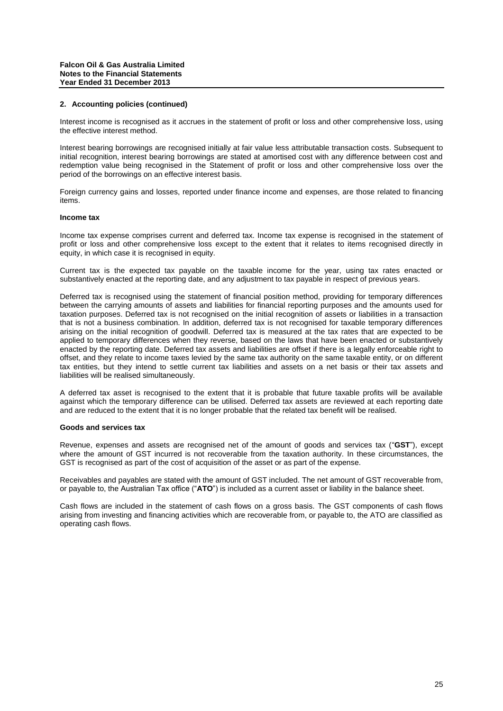Interest income is recognised as it accrues in the statement of profit or loss and other comprehensive loss, using the effective interest method.

Interest bearing borrowings are recognised initially at fair value less attributable transaction costs. Subsequent to initial recognition, interest bearing borrowings are stated at amortised cost with any difference between cost and redemption value being recognised in the Statement of profit or loss and other comprehensive loss over the period of the borrowings on an effective interest basis.

Foreign currency gains and losses, reported under finance income and expenses, are those related to financing items.

## **Income tax**

Income tax expense comprises current and deferred tax. Income tax expense is recognised in the statement of profit or loss and other comprehensive loss except to the extent that it relates to items recognised directly in equity, in which case it is recognised in equity.

Current tax is the expected tax payable on the taxable income for the year, using tax rates enacted or substantively enacted at the reporting date, and any adjustment to tax payable in respect of previous years.

Deferred tax is recognised using the statement of financial position method, providing for temporary differences between the carrying amounts of assets and liabilities for financial reporting purposes and the amounts used for taxation purposes. Deferred tax is not recognised on the initial recognition of assets or liabilities in a transaction that is not a business combination. In addition, deferred tax is not recognised for taxable temporary differences arising on the initial recognition of goodwill. Deferred tax is measured at the tax rates that are expected to be applied to temporary differences when they reverse, based on the laws that have been enacted or substantively enacted by the reporting date. Deferred tax assets and liabilities are offset if there is a legally enforceable right to offset, and they relate to income taxes levied by the same tax authority on the same taxable entity, or on different tax entities, but they intend to settle current tax liabilities and assets on a net basis or their tax assets and liabilities will be realised simultaneously.

A deferred tax asset is recognised to the extent that it is probable that future taxable profits will be available against which the temporary difference can be utilised. Deferred tax assets are reviewed at each reporting date and are reduced to the extent that it is no longer probable that the related tax benefit will be realised.

## **Goods and services tax**

Revenue, expenses and assets are recognised net of the amount of goods and services tax ("**GST**"), except where the amount of GST incurred is not recoverable from the taxation authority. In these circumstances, the GST is recognised as part of the cost of acquisition of the asset or as part of the expense.

Receivables and payables are stated with the amount of GST included. The net amount of GST recoverable from, or payable to, the Australian Tax office ("**ATO**") is included as a current asset or liability in the balance sheet.

Cash flows are included in the statement of cash flows on a gross basis. The GST components of cash flows arising from investing and financing activities which are recoverable from, or payable to, the ATO are classified as operating cash flows.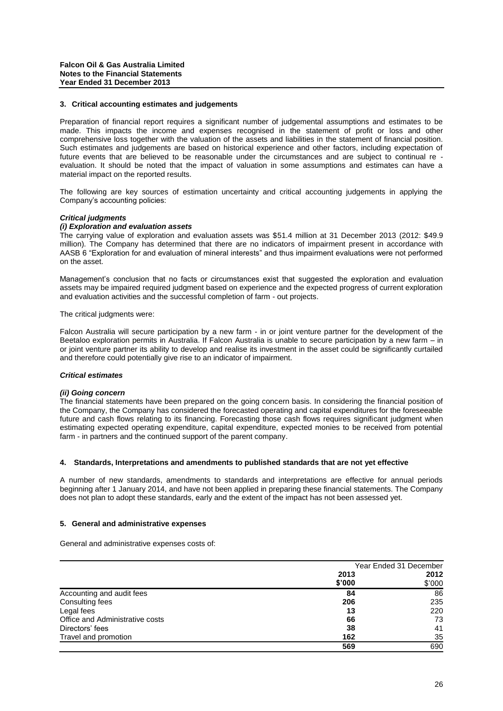#### **3. Critical accounting estimates and judgements**

Preparation of financial report requires a significant number of judgemental assumptions and estimates to be made. This impacts the income and expenses recognised in the statement of profit or loss and other comprehensive loss together with the valuation of the assets and liabilities in the statement of financial position. Such estimates and judgements are based on historical experience and other factors, including expectation of future events that are believed to be reasonable under the circumstances and are subject to continual re evaluation. It should be noted that the impact of valuation in some assumptions and estimates can have a material impact on the reported results.

The following are key sources of estimation uncertainty and critical accounting judgements in applying the Company's accounting policies:

#### *Critical judgments*

#### *(i) Exploration and evaluation assets*

The carrying value of exploration and evaluation assets was \$51.4 million at 31 December 2013 (2012: \$49.9 million). The Company has determined that there are no indicators of impairment present in accordance with AASB 6 "Exploration for and evaluation of mineral interests" and thus impairment evaluations were not performed on the asset.

Management's conclusion that no facts or circumstances exist that suggested the exploration and evaluation assets may be impaired required judgment based on experience and the expected progress of current exploration and evaluation activities and the successful completion of farm - out projects.

#### The critical judgments were:

Falcon Australia will secure participation by a new farm - in or joint venture partner for the development of the Beetaloo exploration permits in Australia. If Falcon Australia is unable to secure participation by a new farm – in or joint venture partner its ability to develop and realise its investment in the asset could be significantly curtailed and therefore could potentially give rise to an indicator of impairment.

## *Critical estimates*

#### *(ii) Going concern*

The financial statements have been prepared on the going concern basis. In considering the financial position of the Company, the Company has considered the forecasted operating and capital expenditures for the foreseeable future and cash flows relating to its financing. Forecasting those cash flows requires significant judgment when estimating expected operating expenditure, capital expenditure, expected monies to be received from potential farm - in partners and the continued support of the parent company.

## **4. Standards, Interpretations and amendments to published standards that are not yet effective**

A number of new standards, amendments to standards and interpretations are effective for annual periods beginning after 1 January 2014, and have not been applied in preparing these financial statements. The Company does not plan to adopt these standards, early and the extent of the impact has not been assessed yet.

#### **5. General and administrative expenses**

General and administrative expenses costs of:

|                                 | Year Ended 31 December |        |
|---------------------------------|------------------------|--------|
|                                 | 2013                   | 2012   |
|                                 | \$'000                 | \$'000 |
| Accounting and audit fees       | 84                     | 86     |
| Consulting fees                 | 206                    | 235    |
| Legal fees                      | 13                     | 220    |
| Office and Administrative costs | 66                     | 73     |
| Directors' fees                 | 38                     | 41     |
| Travel and promotion            | 162                    | 35     |
|                                 | 569                    | 690    |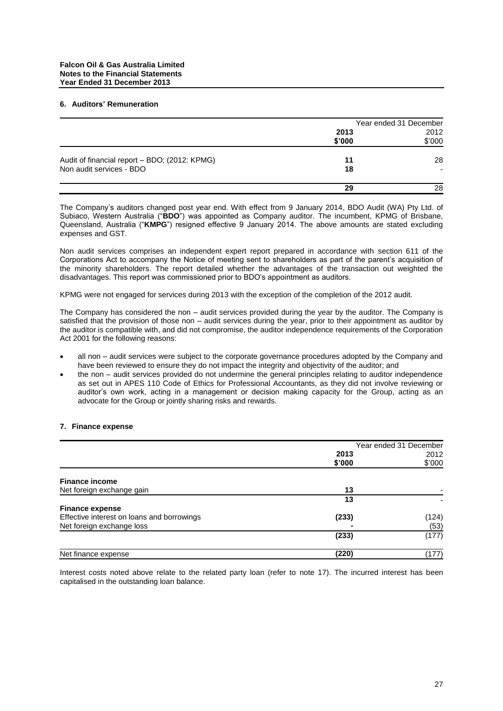## **6. Auditors' Remuneration**

|                                                                           | Year ended 31 December |                |
|---------------------------------------------------------------------------|------------------------|----------------|
|                                                                           | 2013<br>\$'000         | 2012<br>\$'000 |
| Audit of financial report - BDO; (2012: KPMG)<br>Non audit services - BDO | 11<br>18               | 28             |
|                                                                           | 29                     | 28             |

The Company's auditors changed post year end. With effect from 9 January 2014, BDO Audit (WA) Pty Ltd. of Subiaco, Western Australia ("**BDO**") was appointed as Company auditor. The incumbent, KPMG of Brisbane, Queensland, Australia ("**KMPG**") resigned effective 9 January 2014. The above amounts are stated excluding expenses and GST.

Non audit services comprises an independent expert report prepared in accordance with section 611 of the Corporations Act to accompany the Notice of meeting sent to shareholders as part of the parent's acquisition of the minority shareholders. The report detailed whether the advantages of the transaction out weighted the disadvantages. This report was commissioned prior to BDO's appointment as auditors.

KPMG were not engaged for services during 2013 with the exception of the completion of the 2012 audit.

The Company has considered the non – audit services provided during the year by the auditor. The Company is satisfied that the provision of those non – audit services during the year, prior to their appointment as auditor by the auditor is compatible with, and did not compromise, the auditor independence requirements of the Corporation Act 2001 for the following reasons:

- all non audit services were subject to the corporate governance procedures adopted by the Company and have been reviewed to ensure they do not impact the integrity and objectivity of the auditor; and
- the non audit services provided do not undermine the general principles relating to auditor independence as set out in APES 110 Code of Ethics for Professional Accountants, as they did not involve reviewing or auditor's own work, acting in a management or decision making capacity for the Group, acting as an advocate for the Group or jointly sharing risks and rewards.

## **7. Finance expense**

|                                            | Year ended 31 December |        |
|--------------------------------------------|------------------------|--------|
|                                            | 2013                   | 2012   |
|                                            | \$'000                 | \$'000 |
| <b>Finance income</b>                      |                        |        |
| Net foreign exchange gain                  | 13                     |        |
|                                            | 13                     |        |
| <b>Finance expense</b>                     |                        |        |
| Effective interest on loans and borrowings | (233)                  | (124)  |
| Net foreign exchange loss                  |                        | (53)   |
|                                            | (233)                  | (177)  |
| Net finance expense                        | (220)                  | (177)  |

Interest costs noted above relate to the related party loan (refer to note 17). The incurred interest has been capitalised in the outstanding loan balance.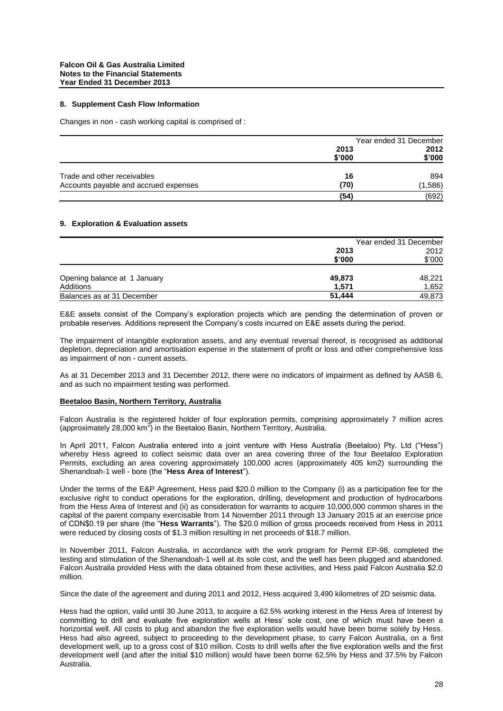#### **8. Supplement Cash Flow Information**

Changes in non - cash working capital is comprised of :

|                                                                      | Year ended 31 December |                |
|----------------------------------------------------------------------|------------------------|----------------|
|                                                                      | 2013<br>\$'000         | 2012<br>\$'000 |
| Trade and other receivables<br>Accounts payable and accrued expenses | 16<br>(70)             | 894<br>(1,586) |
|                                                                      | (54)                   | (692)          |

#### **9. Exploration & Evaluation assets**

|                              | Year ended 31 December |        |
|------------------------------|------------------------|--------|
|                              | 2013                   | 2012   |
|                              | \$'000                 | \$'000 |
| Opening balance at 1 January | 49,873                 | 48,221 |
| Additions                    | 1.571                  | 1,652  |
| Balances as at 31 December   | 51.444                 | 49,873 |

E&E assets consist of the Company's exploration projects which are pending the determination of proven or probable reserves. Additions represent the Company's costs incurred on E&E assets during the period.

The impairment of intangible exploration assets, and any eventual reversal thereof, is recognised as additional depletion, depreciation and amortisation expense in the statement of profit or loss and other comprehensive loss as impairment of non - current assets.

As at 31 December 2013 and 31 December 2012, there were no indicators of impairment as defined by AASB 6, and as such no impairment testing was performed.

# **Beetaloo Basin, Northern Territory, Australia**

Falcon Australia is the registered holder of four exploration permits, comprising approximately 7 million acres (approximately 28,000 km<sup>2</sup>) in the Beetaloo Basin, Northern Territory, Australia.

In April 2011, Falcon Australia entered into a joint venture with Hess Australia (Beetaloo) Pty. Ltd ("Hess") whereby Hess agreed to collect seismic data over an area covering three of the four Beetaloo Exploration Permits, excluding an area covering approximately 100,000 acres (approximately 405 km2) surrounding the Shenandoah-1 well - bore (the "**Hess Area of Interest**").

Under the terms of the E&P Agreement, Hess paid \$20.0 million to the Company (i) as a participation fee for the exclusive right to conduct operations for the exploration, drilling, development and production of hydrocarbons from the Hess Area of Interest and (ii) as consideration for warrants to acquire 10,000,000 common shares in the capital of the parent company exercisable from 14 November 2011 through 13 January 2015 at an exercise price of CDN\$0.19 per share (the "**Hess Warrants**"). The \$20.0 million of gross proceeds received from Hess in 2011 were reduced by closing costs of \$1.3 million resulting in net proceeds of \$18.7 million.

In November 2011, Falcon Australia, in accordance with the work program for Permit EP-98, completed the testing and stimulation of the Shenandoah-1 well at its sole cost, and the well has been plugged and abandoned. Falcon Australia provided Hess with the data obtained from these activities, and Hess paid Falcon Australia \$2.0 million.

Since the date of the agreement and during 2011 and 2012, Hess acquired 3,490 kilometres of 2D seismic data.

Hess had the option, valid until 30 June 2013, to acquire a 62.5% working interest in the Hess Area of Interest by committing to drill and evaluate five exploration wells at Hess' sole cost, one of which must have been a horizontal well. All costs to plug and abandon the five exploration wells would have been borne solely by Hess. Hess had also agreed, subject to proceeding to the development phase, to carry Falcon Australia, on a first development well, up to a gross cost of \$10 million. Costs to drill wells after the five exploration wells and the first development well (and after the initial \$10 million) would have been borne 62.5% by Hess and 37.5% by Falcon Australia.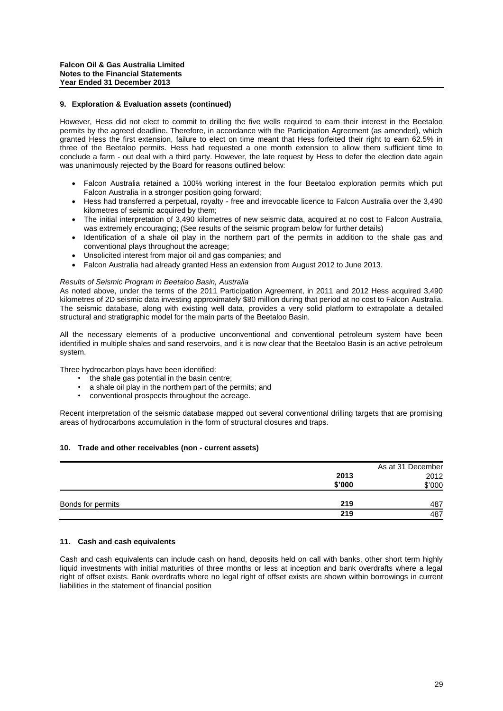# **9. Exploration & Evaluation assets (continued)**

However, Hess did not elect to commit to drilling the five wells required to earn their interest in the Beetaloo permits by the agreed deadline. Therefore, in accordance with the Participation Agreement (as amended), which granted Hess the first extension, failure to elect on time meant that Hess forfeited their right to earn 62.5% in three of the Beetaloo permits. Hess had requested a one month extension to allow them sufficient time to conclude a farm - out deal with a third party. However, the late request by Hess to defer the election date again was unanimously rejected by the Board for reasons outlined below:

- Falcon Australia retained a 100% working interest in the four Beetaloo exploration permits which put Falcon Australia in a stronger position going forward;
- Hess had transferred a perpetual, royalty free and irrevocable licence to Falcon Australia over the 3,490 kilometres of seismic acquired by them;
- The initial interpretation of 3,490 kilometres of new seismic data, acquired at no cost to Falcon Australia, was extremely encouraging; (See results of the seismic program below for further details)
- Identification of a shale oil play in the northern part of the permits in addition to the shale gas and conventional plays throughout the acreage;
- Unsolicited interest from major oil and gas companies; and
- Falcon Australia had already granted Hess an extension from August 2012 to June 2013.

# *Results of Seismic Program in Beetaloo Basin, Australia*

As noted above, under the terms of the 2011 Participation Agreement, in 2011 and 2012 Hess acquired 3,490 kilometres of 2D seismic data investing approximately \$80 million during that period at no cost to Falcon Australia. The seismic database, along with existing well data, provides a very solid platform to extrapolate a detailed structural and stratigraphic model for the main parts of the Beetaloo Basin.

All the necessary elements of a productive unconventional and conventional petroleum system have been identified in multiple shales and sand reservoirs, and it is now clear that the Beetaloo Basin is an active petroleum system.

Three hydrocarbon plays have been identified:

- the shale gas potential in the basin centre;
- a shale oil play in the northern part of the permits; and
- conventional prospects throughout the acreage.

Recent interpretation of the seismic database mapped out several conventional drilling targets that are promising areas of hydrocarbons accumulation in the form of structural closures and traps.

# **10. Trade and other receivables (non - current assets)**

|                   | As at 31 December |        |
|-------------------|-------------------|--------|
|                   | 2013              | 2012   |
|                   | \$'000            | \$'000 |
| Bonds for permits | 219               | 487    |
|                   | 219               | 487    |

## **11. Cash and cash equivalents**

Cash and cash equivalents can include cash on hand, deposits held on call with banks, other short term highly liquid investments with initial maturities of three months or less at inception and bank overdrafts where a legal right of offset exists. Bank overdrafts where no legal right of offset exists are shown within borrowings in current liabilities in the statement of financial position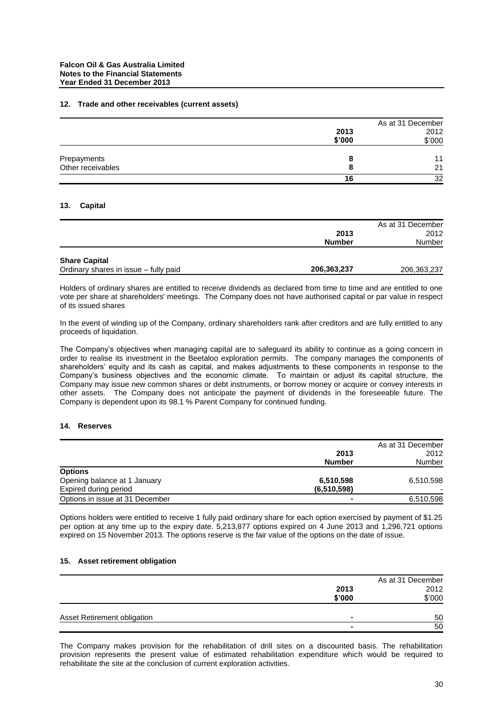#### **12. Trade and other receivables (current assets)**

|                   | As at 31 December |        |
|-------------------|-------------------|--------|
|                   | 2013              | 2012   |
|                   | \$'000            | \$'000 |
| Prepayments       | Я                 |        |
| Other receivables | o                 | 21     |
|                   | 16                | 32     |

## **13. Capital**

|                                       | As at 31 December |             |
|---------------------------------------|-------------------|-------------|
|                                       | 2013              | 2012        |
|                                       | <b>Number</b>     | Number      |
| <b>Share Capital</b>                  |                   |             |
| Ordinary shares in issue - fully paid | 206,363,237       | 206,363,237 |

Holders of ordinary shares are entitled to receive dividends as declared from time to time and are entitled to one vote per share at shareholders' meetings. The Company does not have authorised capital or par value in respect of its issued shares

In the event of winding up of the Company, ordinary shareholders rank after creditors and are fully entitled to any proceeds of liquidation.

The Company's objectives when managing capital are to safeguard its ability to continue as a going concern in order to realise its investment in the Beetaloo exploration permits. The company manages the components of shareholders' equity and its cash as capital, and makes adjustments to these components in response to the Company's business objectives and the economic climate. To maintain or adjust its capital structure, the Company may issue new common shares or debt instruments, or borrow money or acquire or convey interests in other assets. The Company does not anticipate the payment of dividends in the foreseeable future. The Company is dependent upon its 98.1 % Parent Company for continued funding.

## **14. Reserves**

|                                 | As at 31 December     |           |
|---------------------------------|-----------------------|-----------|
|                                 | 2013<br><b>Number</b> | 2012      |
|                                 |                       | Number    |
| <b>Options</b>                  |                       |           |
| Opening balance at 1 January    | 6,510,598             | 6,510,598 |
| Expired during period           | (6,510,598)           |           |
| Options in issue at 31 December | $\blacksquare$        | 6,510,598 |

Options holders were entitled to receive 1 fully paid ordinary share for each option exercised by payment of \$1.25 per option at any time up to the expiry date. 5,213,877 options expired on 4 June 2013 and 1,296,721 options expired on 15 November 2013. The options reserve is the fair value of the options on the date of issue.

## **15. Asset retirement obligation**

|                             | As at 31 December        |        |
|-----------------------------|--------------------------|--------|
|                             | 2013                     | 2012   |
|                             | \$'000                   | \$'000 |
|                             |                          |        |
| Asset Retirement obligation | $\overline{\phantom{a}}$ | 50     |
|                             | $\overline{\phantom{a}}$ | 50     |

The Company makes provision for the rehabilitation of drill sites on a discounted basis. The rehabilitation provision represents the present value of estimated rehabilitation expenditure which would be required to rehabilitate the site at the conclusion of current exploration activities.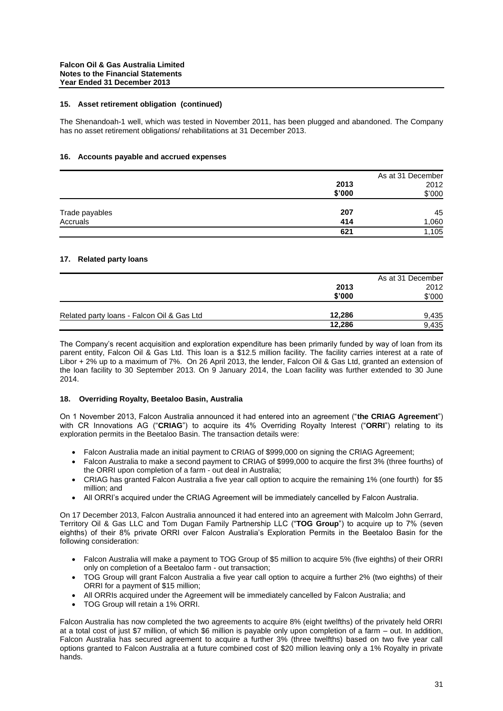## **15. Asset retirement obligation (continued)**

The Shenandoah-1 well, which was tested in November 2011, has been plugged and abandoned. The Company has no asset retirement obligations/ rehabilitations at 31 December 2013.

#### **16. Accounts payable and accrued expenses**

|                |        | As at 31 December |
|----------------|--------|-------------------|
|                | 2013   | 2012              |
|                | \$'000 | \$'000            |
| Trade payables | 207    | 45                |
| Accruals       | 414    | 1,060             |
|                | 621    | ,105              |

#### **17. Related party loans**

| Related party loans - Falcon Oil & Gas Ltd | 12.286<br>12,286 | 9,435<br>9,435    |
|--------------------------------------------|------------------|-------------------|
|                                            |                  |                   |
|                                            | \$'000           | \$'000            |
|                                            | 2013             | 2012              |
|                                            |                  | As at 31 December |

The Company's recent acquisition and exploration expenditure has been primarily funded by way of loan from its parent entity, Falcon Oil & Gas Ltd. This loan is a \$12.5 million facility. The facility carries interest at a rate of Libor + 2% up to a maximum of 7%. On 26 April 2013, the lender, Falcon Oil & Gas Ltd, granted an extension of the loan facility to 30 September 2013. On 9 January 2014, the Loan facility was further extended to 30 June 2014.

#### **18. Overriding Royalty, Beetaloo Basin, Australia**

On 1 November 2013, Falcon Australia announced it had entered into an agreement ("**the CRIAG Agreement**") with CR Innovations AG ("**CRIAG**") to acquire its 4% Overriding Royalty Interest ("**ORRI**") relating to its exploration permits in the Beetaloo Basin. The transaction details were:

- Falcon Australia made an initial payment to CRIAG of \$999,000 on signing the CRIAG Agreement;
- Falcon Australia to make a second payment to CRIAG of \$999,000 to acquire the first 3% (three fourths) of the ORRI upon completion of a farm - out deal in Australia;
- CRIAG has granted Falcon Australia a five year call option to acquire the remaining 1% (one fourth) for \$5 million; and
- All ORRI's acquired under the CRIAG Agreement will be immediately cancelled by Falcon Australia.

On 17 December 2013, Falcon Australia announced it had entered into an agreement with Malcolm John Gerrard, Territory Oil & Gas LLC and Tom Dugan Family Partnership LLC ("**TOG Group**") to acquire up to 7% (seven eighths) of their 8% private ORRI over Falcon Australia's Exploration Permits in the Beetaloo Basin for the following consideration:

- Falcon Australia will make a payment to TOG Group of \$5 million to acquire 5% (five eighths) of their ORRI only on completion of a Beetaloo farm - out transaction;
- TOG Group will grant Falcon Australia a five year call option to acquire a further 2% (two eighths) of their ORRI for a payment of \$15 million;
- All ORRIs acquired under the Agreement will be immediately cancelled by Falcon Australia; and
- TOG Group will retain a 1% ORRI.

Falcon Australia has now completed the two agreements to acquire 8% (eight twelfths) of the privately held ORRI at a total cost of just \$7 million, of which \$6 million is payable only upon completion of a farm – out. In addition, Falcon Australia has secured agreement to acquire a further 3% (three twelfths) based on two five year call options granted to Falcon Australia at a future combined cost of \$20 million leaving only a 1% Royalty in private hands.